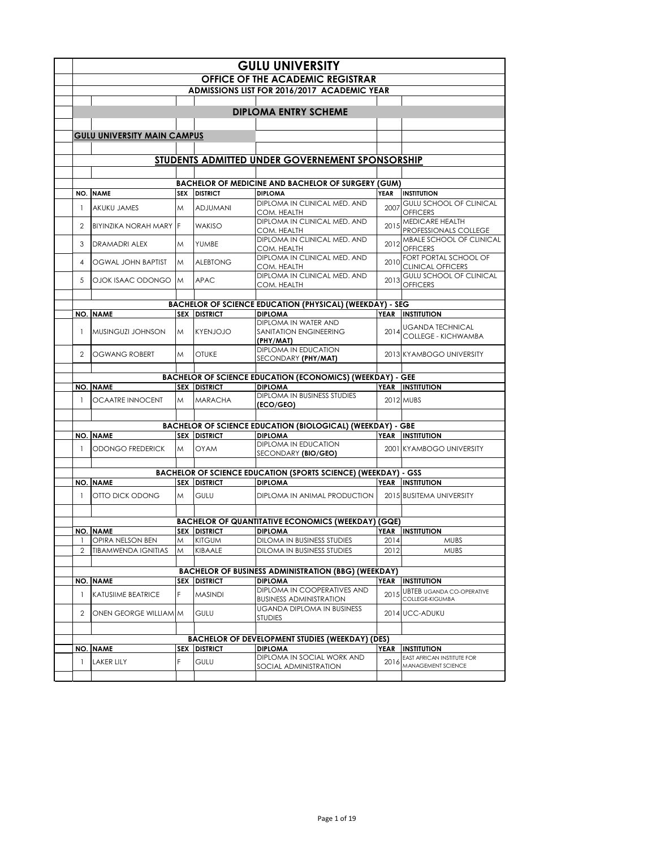|                |                                    |            |                                      | <b>GULU UNIVERSITY</b>                                                            |             |                                                       |
|----------------|------------------------------------|------------|--------------------------------------|-----------------------------------------------------------------------------------|-------------|-------------------------------------------------------|
|                |                                    |            |                                      | <b>OFFICE OF THE ACADEMIC REGISTRAR</b>                                           |             |                                                       |
|                |                                    |            |                                      | ADMISSIONS LIST FOR 2016/2017 ACADEMIC YEAR                                       |             |                                                       |
|                |                                    |            |                                      |                                                                                   |             |                                                       |
|                |                                    |            |                                      | <b>DIPLOMA ENTRY SCHEME</b>                                                       |             |                                                       |
|                |                                    |            |                                      |                                                                                   |             |                                                       |
|                | <b>GULU UNIVERSITY MAIN CAMPUS</b> |            |                                      |                                                                                   |             |                                                       |
|                |                                    |            |                                      |                                                                                   |             |                                                       |
|                |                                    |            |                                      | STUDENTS ADMITTED UNDER GOVERNEMENT SPONSORSHIP                                   |             |                                                       |
|                |                                    |            |                                      |                                                                                   |             |                                                       |
|                |                                    |            |                                      | <b>BACHELOR OF MEDICINE AND BACHELOR OF SURGERY (GUM)</b>                         |             |                                                       |
| NO.            | <b>NAME</b>                        | <b>SEX</b> | <b>DISTRICT</b>                      | <b>DIPLOMA</b>                                                                    | <b>YEAR</b> | <b>INSTITUTION</b>                                    |
|                |                                    |            |                                      | DIPLOMA IN CLINICAL MED. AND                                                      |             | <b>GULU SCHOOL OF CLINICAL</b>                        |
| $\overline{1}$ | AKUKU JAMES                        | M          | <b>ADJUMANI</b>                      | COM. HEALTH                                                                       | 2007        | <b>OFFICERS</b>                                       |
| 2              | BIYINZIKA NORAH MARY               | F          | <b>WAKISO</b>                        | DIPLOMA IN CLINICAL MED. AND                                                      | 2015        | MEDICARE HEALTH                                       |
|                |                                    |            |                                      | COM. HEALTH                                                                       |             | PROFESSIONALS COLLEGE                                 |
| 3              | <b>DRAMADRI ALEX</b>               | M          | YUMBE                                | DIPLOMA IN CLINICAL MED. AND<br>COM. HEALTH                                       | 2012        | MBALE SCHOOL OF CLINICAL<br><b>OFFICERS</b>           |
|                |                                    |            |                                      | DIPLOMA IN CLINICAL MED. AND                                                      |             | FORT PORTAL SCHOOL OF                                 |
| $\overline{4}$ | <b>OGWAL JOHN BAPTIST</b>          | M          | <b>ALEBTONG</b>                      | COM. HEALTH                                                                       | 2010        | <b>CLINICAL OFFICERS</b>                              |
| 5              | OJOK ISAAC ODONGO                  | M          | <b>APAC</b>                          | DIPLOMA IN CLINICAL MED. AND                                                      | 2013        | <b>GULU SCHOOL OF CLINICAL</b>                        |
|                |                                    |            |                                      | COM. HEALTH                                                                       |             | <b>OFFICERS</b>                                       |
|                |                                    |            |                                      |                                                                                   |             |                                                       |
|                | <b>NO. NAME</b>                    |            | <b>SEX DISTRICT</b>                  | <b>BACHELOR OF SCIENCE EDUCATION (PHYSICAL) (WEEKDAY) - SEG</b><br><b>DIPLOMA</b> |             | YEAR INSTITUTION                                      |
|                |                                    |            |                                      | DIPLOMA IN WATER AND                                                              |             |                                                       |
| $\mathbf{1}$   | MUSINGUZI JOHNSON                  | M          | <b>KYENJOJO</b>                      | SANITATION ENGINEERING                                                            | 2014        | <b>UGANDA TECHNICAL</b><br><b>COLLEGE - KICHWAMBA</b> |
|                |                                    |            |                                      | (PHY/MAT)                                                                         |             |                                                       |
| 2              | <b>OGWANG ROBERT</b>               | M          | <b>OTUKE</b>                         | DIPLOMA IN EDUCATION                                                              |             | 2013 KYAMBOGO UNIVERSITY                              |
|                |                                    |            |                                      | SECONDARY (PHY/MAT)                                                               |             |                                                       |
|                |                                    |            |                                      | <b>BACHELOR OF SCIENCE EDUCATION (ECONOMICS) (WEEKDAY) - GEE</b>                  |             |                                                       |
|                | <b>NO. NAME</b>                    |            | <b>SEX DISTRICT</b>                  | <b>DIPLOMA</b>                                                                    |             | YEAR INSTITUTION                                      |
|                | <b>OCAATRE INNOCENT</b>            | M          | <b>MARACHA</b>                       | <b>DIPLOMA IN BUSINESS STUDIES</b>                                                |             | 2012 MUBS                                             |
| $\mathbf{1}$   |                                    |            |                                      |                                                                                   |             |                                                       |
|                |                                    |            |                                      | (ECO/GEO)                                                                         |             |                                                       |
|                |                                    |            |                                      |                                                                                   |             |                                                       |
|                |                                    |            |                                      | <b>BACHELOR OF SCIENCE EDUCATION (BIOLOGICAL) (WEEKDAY) - GBE</b>                 |             |                                                       |
|                | <b>NO. NAME</b>                    |            | <b>SEX DISTRICT</b>                  | <b>DIPLOMA</b><br>DIPLOMA IN EDUCATION                                            |             | YEAR INSTITUTION                                      |
| $\mathbf{1}$   | ODONGO FREDERICK                   | M          | <b>OYAM</b>                          | SECONDARY (BIO/GEO)                                                               |             | 2001 KYAMBOGO UNIVERSITY                              |
|                |                                    |            |                                      |                                                                                   |             |                                                       |
|                |                                    |            |                                      | <b>BACHELOR OF SCIENCE EDUCATION (SPORTS SCIENCE) (WEEKDAY) - GSS</b>             |             |                                                       |
|                | <b>NO. NAME</b>                    |            | <b>SEX DISTRICT</b>                  | <b>DIPLOMA</b>                                                                    |             | YEAR INSTITUTION                                      |
| $\mathbf{1}$   | OTTO DICK ODONG                    | M          | <b>GULU</b>                          | DIPLOMA IN ANIMAL PRODUCTION                                                      |             | 2015 BUSITEMA UNIVERSITY                              |
|                |                                    |            |                                      |                                                                                   |             |                                                       |
|                |                                    |            |                                      |                                                                                   |             |                                                       |
|                | <b>NO. NAME</b>                    |            |                                      | <b>BACHELOR OF QUANTITATIVE ECONOMICS (WEEKDAY) (GQE)</b><br><b>DIPLOMA</b>       |             | <b>YEAR INSTITUTION</b>                               |
|                | OPIRA NELSON BEN                   | Μ          | <b>SEX DISTRICT</b><br><b>KITGUM</b> | DILOMA IN BUSINESS STUDIES                                                        | 2014        | <b>MUBS</b>                                           |
| $\overline{2}$ | <b>TIBAMWENDA IGNITIAS</b>         | M          | KIBAALE                              | DILOMA IN BUSINESS STUDIES                                                        | 2012        | <b>MUBS</b>                                           |
|                |                                    |            |                                      |                                                                                   |             |                                                       |
|                |                                    |            |                                      | <b>BACHELOR OF BUSINESS ADMINISTRATION (BBG) (WEEKDAY)</b>                        |             |                                                       |
|                | <b>NO. NAME</b>                    | <b>SEX</b> | <b>DISTRICT</b>                      | <b>DIPLOMA</b>                                                                    | <b>YEAR</b> | <b>INSTITUTION</b>                                    |
| $\mathbf{1}$   | <b>KATUSIIME BEATRICE</b>          | F          | <b>MASINDI</b>                       | DIPLOMA IN COOPERATIVES AND                                                       | 2015        | <b>UBTEB UGANDA CO-OPERATIVE</b>                      |
|                |                                    |            |                                      | <b>BUSINESS ADMINISTRATION</b>                                                    |             | COLLEGE-KIGUMBA                                       |
| $\overline{2}$ | ONEN GEORGE WILLIAM M              |            | <b>GULU</b>                          | <b>UGANDA DIPLOMA IN BUSINESS</b>                                                 |             | 2014 UCC-ADUKU                                        |
|                |                                    |            |                                      | <b>STUDIES</b>                                                                    |             |                                                       |
|                |                                    |            |                                      | <b>BACHELOR OF DEVELOPMENT STUDIES (WEEKDAY) (DES)</b>                            |             |                                                       |
|                | <b>NO. NAME</b>                    | SEX        | <b>DISTRICT</b>                      | <b>DIPLOMA</b>                                                                    | <b>YEAR</b> | <b>INSTITUTION</b>                                    |
| $\mathbf{1}$   |                                    | F          |                                      | DIPLOMA IN SOCIAL WORK AND                                                        |             | EAST AFRICAN INSTITUTE FOR                            |
|                | <b>LAKER LILY</b>                  |            | <b>GULU</b>                          | SOCIAL ADMINISTRATION                                                             | 2016        | MANAGEMENT SCIENCE                                    |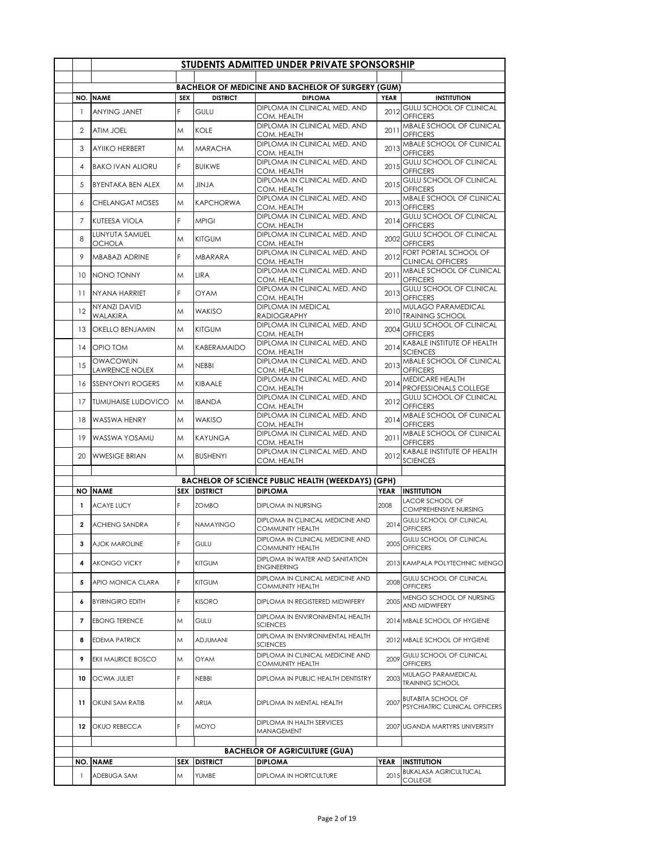|                          |                                        |            |                     | STUDENTS ADMITTED UNDER PRIVATE SPONSORSHIP                   |             |                                                            |
|--------------------------|----------------------------------------|------------|---------------------|---------------------------------------------------------------|-------------|------------------------------------------------------------|
|                          |                                        |            |                     |                                                               |             |                                                            |
|                          |                                        |            |                     | <b>BACHELOR OF MEDICINE AND BACHELOR OF SURGERY (GUM)</b>     |             |                                                            |
| NO.                      | <b>NAME</b>                            | <b>SEX</b> | <b>DISTRICT</b>     | <b>DIPLOMA</b><br>DIPLOMA IN CLINICAL MED. AND                | <b>YEAR</b> | <b>INSTITUTION</b><br><b>GULU SCHOOL OF CLINICAL</b>       |
| $\mathbf{1}$             | <b>ANYING JANET</b>                    | F          | GULU                | COM. HEALTH<br>DIPLOMA IN CLINICAL MED. AND                   | 2012        | <b>OFFICERS</b><br>MBALE SCHOOL OF CLINICAL                |
| 2                        | <b>ATIM JOEL</b>                       | M          | KOLE                | COM. HEALTH<br>DIPLOMA IN CLINICAL MED. AND                   | 2011        | <b>OFFICERS</b><br>MBALE SCHOOL OF CLINICAL                |
| 3                        | <b>AYIIKO HERBERT</b>                  | M          | <b>MARACHA</b>      | COM. HEALTH<br>DIPLOMA IN CLINICAL MED. AND                   | 2013        | <b>OFFICERS</b><br><b>GULU SCHOOL OF CLINICAL</b>          |
| $\overline{4}$           | <b>BAKO IVAN ALIORU</b>                | F          | <b>BUIKWE</b>       | COM. HEALTH<br><b>DIPLOMA IN CLINICAL MED. AND</b>            | 2015        | <b>OFFICERS</b><br><b>GULU SCHOOL OF CLINICAL</b>          |
| 5                        | <b>BYENTAKA BEN ALEX</b>               | M          | <b>ALVIL</b>        | COM. HEALTH<br>DIPLOMA IN CLINICAL MED. AND                   | 2015        | <b>OFFICERS</b>                                            |
| 6                        | <b>CHELANGAT MOSES</b>                 | M          | <b>KAPCHORWA</b>    | COM. HEALTH                                                   | 2013        | MBALE SCHOOL OF CLINICAL<br><b>OFFICERS</b>                |
| $\overline{7}$           | KUTEESA VIOLA                          | F.         | <b>MPIGI</b>        | DIPLOMA IN CLINICAL MED. AND<br>COM. HEALTH                   | 2014        | <b>GULU SCHOOL OF CLINICAL</b><br><b>OFFICERS</b>          |
| 8                        | LUNYUTA SAMUEL<br><b>OCHOLA</b>        | M          | <b>KITGUM</b>       | DIPLOMA IN CLINICAL MED. AND<br>COM. HEALTH                   | 2002        | GULU SCHOOL OF CLINICAL<br><b>OFFICERS</b>                 |
| 9                        | <b>MBABAZI ADRINE</b>                  | F          | MBARARA             | DIPLOMA IN CLINICAL MED. AND<br>COM. HEALTH                   | 2012        | FORT PORTAL SCHOOL OF<br><b>CLINICAL OFFICERS</b>          |
| 10                       | NONO TONNY                             | M          | LIRA                | DIPLOMA IN CLINICAL MED. AND<br>COM. HEALTH                   | 2011        | MBALE SCHOOL OF CLINICAL<br><b>OFFICERS</b>                |
|                          | 11 NYANA HARRIET                       | F          | <b>OYAM</b>         | DIPLOMA IN CLINICAL MED. AND<br>COM. HEALTH                   | 2013        | <b>GULU SCHOOL OF CLINICAL</b><br><b>OFFICERS</b>          |
| 12                       | <b>NYANZI DAVID</b><br><b>WALAKIRA</b> | M          | <b>WAKISO</b>       | DIPLOMA IN MEDICAL<br>RADIOGRAPHY                             | 2010        | MULAGO PARAMEDICAL<br><b>TRAINING SCHOOL</b>               |
| 13                       | <b>OKELLO BENJAMIN</b>                 | M          | <b>KITGUM</b>       | DIPLOMA IN CLINICAL MED. AND<br>COM. HEALTH                   | 2004        | <b>GULU SCHOOL OF CLINICAL</b><br><b>OFFICERS</b>          |
|                          | 14   OPIO TOM                          | M          | KABERAMAIDO         | DIPLOMA IN CLINICAL MED. AND<br>COM. HEALTH                   | 2014        | KABALE INSTITUTE OF HEALTH<br><b>SCIENCES</b>              |
| 15                       | OWACOWUN<br><b>LAWRENCE NOLEX</b>      | M          | <b>NEBBI</b>        | DIPLOMA IN CLINICAL MED. AND<br>COM. HEALTH                   | 2013        | MBALE SCHOOL OF CLINICAL<br><b>OFFICERS</b>                |
| 16                       | <b>SSENYONYI ROGERS</b>                | M          | KIBAALE             | DIPLOMA IN CLINICAL MED. AND<br>COM. HEALTH                   | 2014        | MEDICARE HEALTH<br>PROFESSIONALS COLLEGE                   |
| 17                       | <b>TUMUHAISE LUDOVICO</b>              | M          | <b>IBANDA</b>       | DIPLOMA IN CLINICAL MED. AND<br>COM. HEALTH                   | 2012        | GULU SCHOOL OF CLINICAL<br><b>OFFICERS</b>                 |
| 18                       | <b>WASSWA HENRY</b>                    | M          | <b>WAKISO</b>       | DIPLOMA IN CLINICAL MED. AND<br>COM. HEALTH                   | 2014        | MBALE SCHOOL OF CLINICAL<br><b>OFFICERS</b>                |
| 19                       | WASSWA YOSAMU                          | M          | <b>KAYUNGA</b>      | DIPLOMA IN CLINICAL MED. AND<br>COM. HEALTH                   | 2011        | MBALE SCHOOL OF CLINICAL<br><b>OFFICERS</b>                |
| 20                       | <b>WWESIGE BRIAN</b>                   | M          | <b>BUSHENYI</b>     | DIPLOMA IN CLINICAL MED. AND<br>COM. HEALTH                   | 2012        | KABALE INSTITUTE OF HEALTH<br><b>SCIENCES</b>              |
|                          |                                        |            |                     |                                                               |             |                                                            |
|                          |                                        |            | <b>SEX DISTRICT</b> | <b>BACHELOR OF SCIENCE PUBLIC HEALTH (WEEKDAYS) (GPH)</b>     |             | <b>INSTITUTION</b>                                         |
|                          | <b>NO NAME</b>                         |            |                     | <b>DIPLOMA</b>                                                | YEAR        | <b>LACOR SCHOOL OF</b>                                     |
| $\mathbf{1}$             | <b>ACAYE LUCY</b>                      | F          | ZOMBO               | <b>DIPLOMA IN NURSING</b><br>DIPLOMA IN CLINICAL MEDICINE AND | 2008        | COMPREHENSIVE NURSING<br>GULU SCHOOL OF CLINICAL           |
| $\overline{2}$           | <b>ACHIENG SANDRA</b>                  | F          | <b>NAMAYINGO</b>    | COMMUNITY HEALTH                                              | 2014        | OFFICERS                                                   |
| 3                        | AJOK MAROLINE                          | F          | GULU                | DIPLOMA IN CLINICAL MEDICINE AND<br><b>COMMUNITY HEALTH</b>   |             | 2005 GULU SCHOOL OF CLINICAL<br><b>OFFICERS</b>            |
| 4                        | <b>AKONGO VICKY</b>                    | F          | <b>KITGUM</b>       | DIPLOMA IN WATER AND SANITATION<br><b>ENGINEERING</b>         |             | 2013 KAMPALA POLYTECHNIC MENGO                             |
| 5                        | APIO MONICA CLARA                      | F          | <b>KITGUM</b>       | DIPLOMA IN CLINICAL MEDICINE AND<br><b>COMMUNITY HEALTH</b>   | 2008        | GULU SCHOOL OF CLINICAL<br><b>OFFICERS</b>                 |
| 6                        | <b>BYIRINGIRO EDITH</b>                | F          | <b>KISORO</b>       | DIPLOMA IN REGISTERED MIDWIFERY                               | 2005        | MENGO SCHOOL OF NURSING<br>AND MIDWIFERY                   |
| $\overline{\phantom{a}}$ | <b>EBONG TERENCE</b>                   | Μ          | GULU                | DIPLOMA IN ENVIRONMENTAL HEALTH<br><b>SCIENCES</b>            |             | 2014 MBALE SCHOOL OF HYGIENE                               |
| 8                        | <b>EDEMA PATRICK</b>                   | M          | <b>ADJUMANI</b>     | DIPLOMA IN ENVIRONMENTAL HEALTH<br><b>SCIENCES</b>            |             | 2012 MBALE SCHOOL OF HYGIENE                               |
| 9                        | <b>EKII MAURICE BOSCO</b>              | M          | <b>OYAM</b>         | DIPLOMA IN CLINICAL MEDICINE AND<br>COMMUNITY HEALTH          | 2009        | GULU SCHOOL OF CLINICAL<br><b>OFFICERS</b>                 |
| 10                       | <b>OCWIA JULIET</b>                    | F          | <b>NEBBI</b>        | DIPLOMA IN PUBLIC HEALTH DENTISTRY                            | 2003        | MULAGO PARAMEDICAL<br><b>TRAINING SCHOOL</b>               |
| 11                       | OKUNI SAM RATIB                        | Μ          | <b>ARUA</b>         | DIPLOMA IN MENTAL HEALTH                                      | 2007        | <b>BUTABITA SCHOOL OF</b><br>PSYCHIATRIC CLINICAL OFFICERS |
| 12                       | <b>OKUO REBECCA</b>                    | F          | <b>MOYO</b>         | DIPLOMA IN HALTH SERVICES<br>MANAGEMENT                       |             | 2007 UGANDA MARTYRS UNIVERSITY                             |
|                          |                                        |            |                     |                                                               |             |                                                            |
|                          |                                        |            |                     | <b>BACHELOR OF AGRICULTURE (GUA)</b>                          |             |                                                            |
|                          | <b>NO. NAME</b>                        | <b>SEX</b> | <b>DISTRICT</b>     | <b>DIPLOMA</b>                                                | YEAR        | <b>INSTITUTION</b>                                         |
| -1                       | ADEBUGA SAM                            | Μ          | YUMBE               | DIPLOMA IN HORTCULTURE                                        | 2015        | <b>BUKALASA AGRICULTUCAL</b><br><b>COLLEGE</b>             |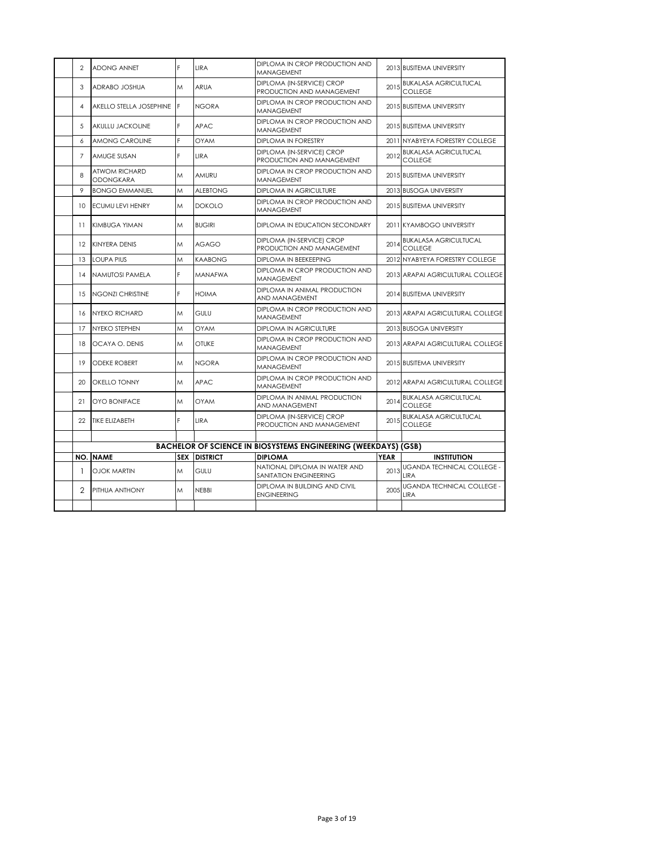| 2               | <b>ADONG ANNET</b>                       | F | LIRA                | DIPLOMA IN CROP PRODUCTION AND<br><b>MANAGEMENT</b>                   |             | 2013 BUSITEMA UNIVERSITY                         |
|-----------------|------------------------------------------|---|---------------------|-----------------------------------------------------------------------|-------------|--------------------------------------------------|
| 3               | ADRABO JOSHUA                            | M | <b>ARUA</b>         | DIPLOMA (IN-SERVICE) CROP<br>PRODUCTION AND MANAGEMENT                | 2015        | <b>BUKALASA AGRICULTUCAL</b><br><b>COLLEGE</b>   |
| 4               | AKELLO STELLA JOSEPHINE                  | F | <b>NGORA</b>        | DIPLOMA IN CROP PRODUCTION AND<br><b>MANAGEMENT</b>                   |             | 2015 BUSITEMA UNIVERSITY                         |
| 5               | AKULLU JACKOLINE                         | F | <b>APAC</b>         | DIPLOMA IN CROP PRODUCTION AND<br>MANAGEMENT                          |             | 2015 BUSITEMA UNIVERSITY                         |
| 6               | AMONG CAROLINE                           | E | <b>OYAM</b>         | <b>DIPLOMA IN FORESTRY</b>                                            | 2011        | NYABYEYA FORESTRY COLLEGE                        |
| $\overline{7}$  | AMUGE SUSAN                              | F | <b>LIRA</b>         | DIPLOMA (IN-SERVICE) CROP<br>PRODUCTION AND MANAGEMENT                | 2012        | <b>BUKALASA AGRICULTUCAL</b><br><b>COLLEGE</b>   |
| 8               | <b>ATWOM RICHARD</b><br><b>ODONGKARA</b> | M | AMURU               | DIPLOMA IN CROP PRODUCTION AND<br>MANAGEMENT                          |             | 2015 BUSITEMA UNIVERSITY                         |
| 9               | <b>BONGO EMMANUEL</b>                    | M | <b>ALEBTONG</b>     | DIPLOMA IN AGRICULTURE                                                |             | 2013 BUSOGA UNIVERSITY                           |
| 10              | <b>ECUMU LEVI HENRY</b>                  | M | <b>DOKOLO</b>       | DIPLOMA IN CROP PRODUCTION AND<br><b>MANAGEMENT</b>                   |             | 2015 BUSITEMA UNIVERSITY                         |
| 11              | <b>KIMBUGA YIMAN</b>                     | M | <b>BUGIRI</b>       | DIPLOMA IN EDUCATION SECONDARY                                        |             | 2011 KYAMBOGO UNIVERSITY                         |
| 12              | <b>KINYERA DENIS</b>                     | M | <b>AGAGO</b>        | DIPLOMA (IN-SERVICE) CROP<br>PRODUCTION AND MANAGEMENT                | 2014        | <b>BUKALASA AGRICULTUCAL</b><br><b>COLLEGE</b>   |
| 13              | <b>LOUPA PIUS</b>                        | M | <b>KAABONG</b>      | DIPLOMA IN BEEKEEPING                                                 |             | 2012 NYABYEYA FORESTRY COLLEGE                   |
| 14              | NAMUTOSI PAMELA                          | F | MANAFWA             | DIPLOMA IN CROP PRODUCTION AND<br>MANAGEMENT                          |             | 2013 ARAPAI AGRICULTURAL COLLEGE                 |
| 15              | <b>NGONZI CHRISTINE</b>                  | F | <b>HOIMA</b>        | DIPLOMA IN ANIMAL PRODUCTION<br>AND MANAGEMENT                        |             | 2014 BUSITEMA UNIVERSITY                         |
| 16              | <b>NYEKO RICHARD</b>                     | M | GULU                | DIPLOMA IN CROP PRODUCTION AND<br><b>MANAGEMENT</b>                   |             | 2013 ARAPAI AGRICULTURAL COLLEGE                 |
| 17              | NYEKO STEPHEN                            | M | <b>OYAM</b>         | DIPLOMA IN AGRICULTURE                                                |             | 2013 BUSOGA UNIVERSITY                           |
| 18              | OCAYA O. DENIS                           | M | <b>OTUKE</b>        | DIPLOMA IN CROP PRODUCTION AND<br><b>MANAGEMENT</b>                   |             | 2013 ARAPAI AGRICULTURAL COLLEGE                 |
| 19              | <b>ODEKE ROBERT</b>                      | M | <b>NGORA</b>        | DIPLOMA IN CROP PRODUCTION AND<br><b>MANAGEMENT</b>                   |             | 2015 BUSITEMA UNIVERSITY                         |
| 20 <sub>o</sub> | <b>OKELLO TONNY</b>                      | M | APAC.               | DIPLOMA IN CROP PRODUCTION AND<br>MANAGEMENT                          |             | 2012 ARAPAI AGRICULTURAL COLLEGE                 |
| 21              | <b>OYO BONIFACE</b>                      | M | <b>OYAM</b>         | DIPLOMA IN ANIMAL PRODUCTION<br>AND MANAGEMENT                        | 2014        | <b>BUKALASA AGRICULTUCAL</b><br><b>COLLEGE</b>   |
| 22              | <b>TIKE ELIZABETH</b>                    | F | <b>LIRA</b>         | DIPLOMA (IN-SERVICE) CROP<br>PRODUCTION AND MANAGEMENT                | 2015        | <b>BUKALASA AGRICULTUCAL</b><br><b>COLLEGE</b>   |
|                 |                                          |   |                     |                                                                       |             |                                                  |
|                 |                                          |   |                     | <b>BACHELOR OF SCIENCE IN BIOSYSTEMS ENGINEERING (WEEKDAYS) (GSB)</b> |             |                                                  |
|                 | <b>NO. NAME</b>                          |   | <b>SEX DISTRICT</b> | <b>DIPLOMA</b>                                                        | <b>YEAR</b> | <b>INSTITUTION</b>                               |
| -1              | OJOK MARTIN                              | M | GULU                | NATIONAL DIPLOMA IN WATER AND<br>SANITATION ENGINEERING               | 2013        | <b>UGANDA TECHNICAL COLLEGE -</b><br><b>IIRA</b> |
| $\mathfrak{p}$  | PITHUA ANTHONY                           | M | <b>NEBBI</b>        | DIPLOMA IN BUILDING AND CIVIL<br><b>ENGINEERING</b>                   | 2005        | UGANDA TECHNICAL COLLEGE -<br><b>LIRA</b>        |
|                 |                                          |   |                     |                                                                       |             |                                                  |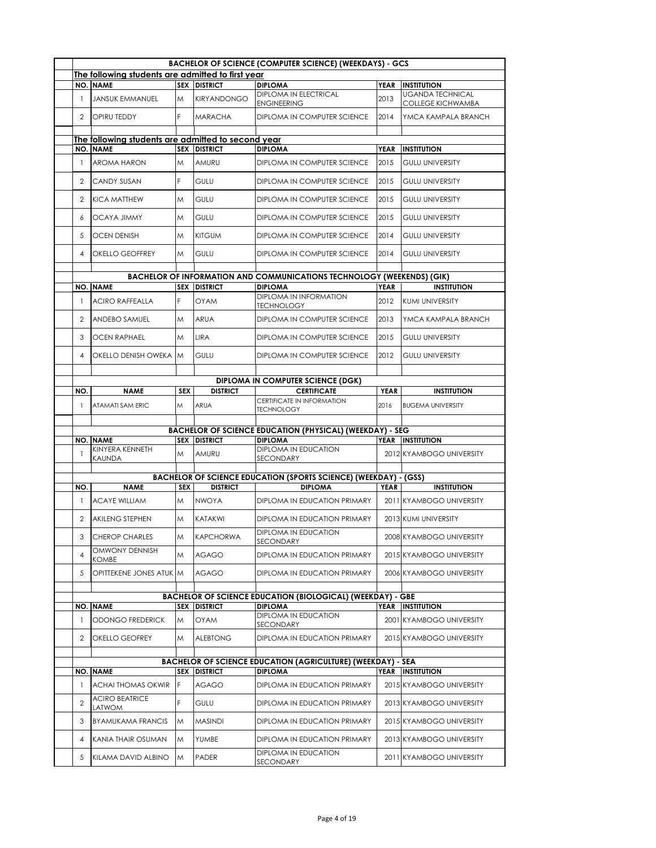|                |                                                    |            |                              | <b>BACHELOR OF SCIENCE (COMPUTER SCIENCE) (WEEKDAYS) - GCS</b>                            |             |                                                     |
|----------------|----------------------------------------------------|------------|------------------------------|-------------------------------------------------------------------------------------------|-------------|-----------------------------------------------------|
|                | The following students are admitted to first year  |            |                              |                                                                                           |             |                                                     |
|                | <b>NO. NAME</b>                                    |            | <b>SEX DISTRICT</b>          | <b>DIPLOMA</b>                                                                            | <b>YEAR</b> | <b>INSTITUTION</b>                                  |
| $\mathbf{1}$   | <b>JANSUK EMMANUEL</b>                             | M          | <b>KIRYANDONGO</b>           | DIPLOMA IN ELECTRICAL<br><b>ENGINEERING</b>                                               | 2013        | <b>UGANDA TECHNICAL</b><br><b>COLLEGE KICHWAMBA</b> |
| 2              | <b>OPIRU TEDDY</b>                                 | F          | <b>MARACHA</b>               | <b>DIPLOMA IN COMPUTER SCIENCE</b>                                                        | 2014        | YMCA KAMPALA BRANCH                                 |
|                | The following students are admitted to second year |            |                              |                                                                                           |             |                                                     |
|                | <b>NO. NAME</b>                                    |            | <b>SEX DISTRICT</b>          | <b>DIPLOMA</b>                                                                            | <b>YEAR</b> | <b>INSTITUTION</b>                                  |
| $\mathbf{1}$   | <b>AROMA HARON</b>                                 | M          | AMURU                        | DIPLOMA IN COMPUTER SCIENCE                                                               | 2015        | <b>GULU UNIVERSITY</b>                              |
| 2              | <b>CANDY SUSAN</b>                                 | F          | GULU                         | <b>DIPLOMA IN COMPUTER SCIENCE</b>                                                        | 2015        | <b>GULU UNIVERSITY</b>                              |
| $\mathfrak{D}$ | <b>KICA MATTHEW</b>                                | M          | GULU                         | DIPLOMA IN COMPUTER SCIENCE                                                               | 2015        | <b>GULU UNIVERSITY</b>                              |
| 6              | <b>OCAYA JIMMY</b>                                 | M          | <b>GULU</b>                  | DIPLOMA IN COMPUTER SCIENCE                                                               | 2015        | <b>GULU UNIVERSITY</b>                              |
| 5              | <b>OCEN DENISH</b>                                 | M          | <b>KITGUM</b>                | DIPLOMA IN COMPUTER SCIENCE                                                               | 2014        | <b>GULU UNIVERSITY</b>                              |
| 4              | <b>OKELLO GEOFFREY</b>                             | M          | <b>GULU</b>                  | DIPLOMA IN COMPUTER SCIENCE                                                               | 2014        | <b>GULU UNIVERSITY</b>                              |
|                |                                                    |            |                              | <b>BACHELOR OF INFORMATION AND COMMUNICATIONS TECHNOLOGY (WEEKENDS) (GIK)</b>             |             |                                                     |
|                | <b>NO. NAME</b>                                    | <b>SEX</b> | <b>DISTRICT</b>              | <b>DIPLOMA</b>                                                                            | <b>YEAR</b> | <b>INSTITUTION</b>                                  |
| $\mathbf{1}$   | <b>ACIRO RAFFEALLA</b>                             | F          | <b>OYAM</b>                  | <b>DIPLOMA IN INFORMATION</b><br><b>TECHNOLOGY</b>                                        | 2012        | KUMI UNIVERSITY                                     |
| 2              | <b>ANDEBO SAMUEL</b>                               | M          | ARUA                         | DIPLOMA IN COMPUTER SCIENCE                                                               | 2013        | YMCA KAMPALA BRANCH                                 |
| 3              | <b>OCEN RAPHAEL</b>                                | M          | <b>LIRA</b>                  | DIPLOMA IN COMPUTER SCIENCE                                                               | 2015        | <b>GULU UNIVERSITY</b>                              |
| $\overline{4}$ | OKELLO DENISH OWEKA M                              |            | <b>GULU</b>                  | <b>DIPLOMA IN COMPUTER SCIENCE</b>                                                        | 2012        | <b>GULU UNIVERSITY</b>                              |
|                |                                                    |            |                              | <b>DIPLOMA IN COMPUTER SCIENCE (DGK)</b>                                                  |             |                                                     |
| NO.            | <b>NAME</b>                                        | <b>SEX</b> | <b>DISTRICT</b>              | <b>CERTIFICATE</b>                                                                        | <b>YEAR</b> | <b>INSTITUTION</b>                                  |
| $\mathbf{1}$   | ATAMATI SAM ERIC                                   | M          | ARUA                         | CERTIFICATE IN INFORMATION<br><b>TECHNOLOGY</b>                                           | 2016        | <b>BUGEMA UNIVERSITY</b>                            |
|                |                                                    |            |                              |                                                                                           |             |                                                     |
|                |                                                    |            |                              | <b>BACHELOR OF SCIENCE EDUCATION (PHYSICAL) (WEEKDAY) - SEG</b>                           |             |                                                     |
| $\mathbf{1}$   | <b>NO. NAME</b><br>KINYERA KENNETH<br>KAUNDA       | M          | <b>SEX DISTRICT</b><br>AMURU | <b>DIPLOMA</b><br>DIPLOMA IN EDUCATION<br>SECONDARY                                       |             | YEAR INSTITUTION<br>2012 KYAMBOGO UNIVERSITY        |
|                |                                                    |            |                              |                                                                                           |             |                                                     |
| NO.            | <b>NAME</b>                                        | <b>SEX</b> | <b>DISTRICT</b>              | <b>BACHELOR OF SCIENCE EDUCATION (SPORTS SCIENCE) (WEEKDAY) - (GSS)</b><br><b>DIPLOMA</b> | <b>YEAR</b> | <b>INSTITUTION</b>                                  |
| $\mathbf{1}$   | <b>ACAYE WILLIAM</b>                               | M          | <b>NWOYA</b>                 | DIPLOMA IN EDUCATION PRIMARY                                                              |             | 2011 KYAMBOGO UNIVERSITY                            |
| $\overline{2}$ | <b>AKILENG STEPHEN</b>                             | M          | KATAKWI                      | DIPLOMA IN EDUCATION PRIMARY                                                              |             | 2013 KUMI UNIVERSITY                                |
| 3              | <b>CHEROP CHARLES</b>                              | M          | <b>KAPCHORWA</b>             | <b>DIPLOMA IN EDUCATION</b><br>SECONDARY                                                  |             | 2008 KYAMBOGO UNIVERSITY                            |
| 4              | OMWONY DENNISH<br>KOMBE                            | M          | <b>AGAGO</b>                 | DIPLOMA IN EDUCATION PRIMARY                                                              |             | 2015 KYAMBOGO UNIVERSITY                            |
| 5              | OPITTEKENE JONES ATUK M                            |            | <b>AGAGO</b>                 | DIPLOMA IN EDUCATION PRIMARY                                                              |             | 2006 KYAMBOGO UNIVERSITY                            |
|                |                                                    |            |                              |                                                                                           |             |                                                     |
|                |                                                    |            |                              | <b>BACHELOR OF SCIENCE EDUCATION (BIOLOGICAL) (WEEKDAY) - GBE</b>                         |             |                                                     |
|                | <b>NO. NAME</b>                                    |            | <b>SEX DISTRICT</b>          | <b>DIPLOMA</b><br>DIPLOMA IN EDUCATION                                                    | YEAR        | <b>INSTITUTION</b>                                  |
| -1             | ODONGO FREDERICK                                   | M          | OYAM                         | SECONDARY                                                                                 |             | 2001 KYAMBOGO UNIVERSITY                            |
| $\overline{2}$ | OKELLO GEOFREY                                     | M          | <b>ALEBTONG</b>              | DIPLOMA IN EDUCATION PRIMARY                                                              |             | 2015 KYAMBOGO UNIVERSITY                            |
|                |                                                    |            |                              | <b>BACHELOR OF SCIENCE EDUCATION (AGRICULTURE) (WEEKDAY) - SEA</b>                        |             |                                                     |
|                | <b>NO. NAME</b>                                    |            | <b>SEX DISTRICT</b>          | <b>DIPLOMA</b>                                                                            |             | YEAR INSTITUTION                                    |
| -1             | ACHAI THOMAS OKWIR                                 | F          | <b>AGAGO</b>                 | DIPLOMA IN EDUCATION PRIMARY                                                              |             | 2015 KYAMBOGO UNIVERSITY                            |
| 2              | <b>ACIRO BEATRICE</b><br>LATWOM                    | F          | <b>GULU</b>                  | DIPLOMA IN EDUCATION PRIMARY                                                              |             | 2013 KYAMBOGO UNIVERSITY                            |
| 3              | <b>BYAMUKAMA FRANCIS</b>                           | M          | <b>MASINDI</b>               | DIPLOMA IN EDUCATION PRIMARY                                                              |             | 2015 KYAMBOGO UNIVERSITY                            |
| 4              | KANIA THAIR OSUMAN                                 | M          | YUMBE                        | DIPLOMA IN EDUCATION PRIMARY                                                              |             | 2013 KYAMBOGO UNIVERSITY                            |
| 5              | KILAMA DAVID ALBINO                                | M          | <b>PADER</b>                 | DIPLOMA IN EDUCATION<br>SECONDARY                                                         |             | 2011 KYAMBOGO UNIVERSITY                            |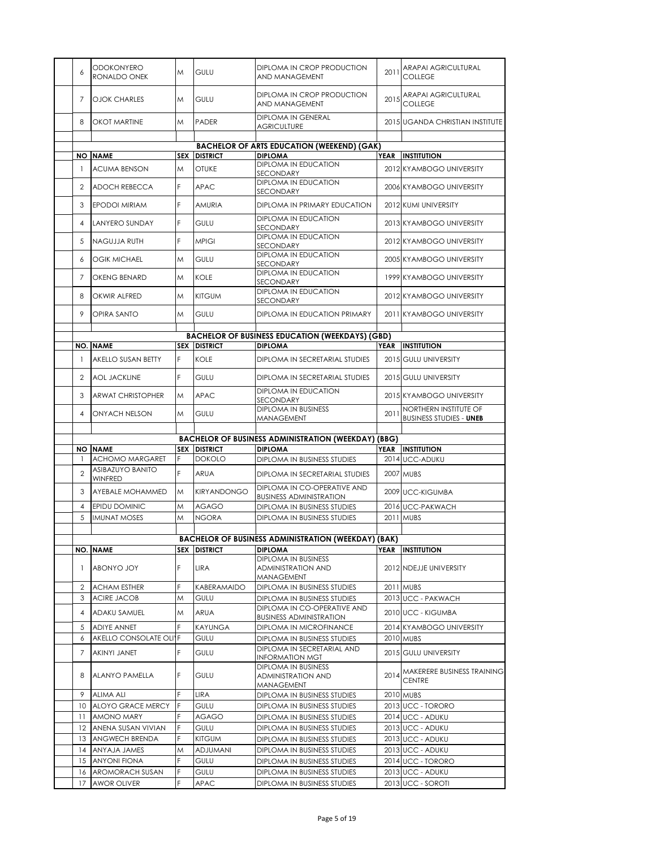| 6              | <b>ODOKONYERO</b><br>RONALDO ONEK  | M          | GULU                | DIPLOMA IN CROP PRODUCTION<br>AND MANAGEMENT                          | 2011 | ARAPAI AGRICULTURAL<br><b>COLLEGE</b>                   |
|----------------|------------------------------------|------------|---------------------|-----------------------------------------------------------------------|------|---------------------------------------------------------|
| 7              | <b>OJOK CHARLES</b>                | M          | GULU                | DIPLOMA IN CROP PRODUCTION<br>AND MANAGEMENT                          | 2015 | ARAPAI AGRICULTURAL<br><b>COLLEGE</b>                   |
| 8              | <b>OKOT MARTINE</b>                | M          | <b>PADER</b>        | DIPLOMA IN GENERAL<br><b>AGRICULTURE</b>                              |      | 2015 UGANDA CHRISTIAN INSTITUTE                         |
|                |                                    |            |                     |                                                                       |      |                                                         |
|                |                                    |            |                     | <b>BACHELOR OF ARTS EDUCATION (WEEKEND) (GAK)</b>                     |      |                                                         |
| NO I           | <b>NAME</b>                        | <b>SEX</b> | <b>DISTRICT</b>     | <b>DIPLOMA</b><br>DIPLOMA IN EDUCATION                                | YEAR | <b>INSTITUTION</b>                                      |
| -1             | <b>ACUMA BENSON</b>                | M          | <b>OTUKE</b>        | SECONDARY                                                             |      | 2012 KYAMBOGO UNIVERSITY                                |
| 2              | ADOCH REBECCA                      | F          | <b>APAC</b>         | <b>DIPLOMA IN EDUCATION</b><br>SECONDARY                              |      | 2006 KYAMBOGO UNIVERSITY                                |
| 3              | <b>EPODOI MIRIAM</b>               | F          | <b>AMURIA</b>       | DIPLOMA IN PRIMARY EDUCATION                                          |      | 2012 KUMI UNIVERSITY                                    |
| 4              | <b>LANYERO SUNDAY</b>              | F          | GULU                | DIPLOMA IN EDUCATION<br>SECONDARY                                     |      | 2013 KYAMBOGO UNIVERSITY                                |
| 5              | NAGUJJA RUTH                       | F          | <b>MPIGI</b>        | <b>DIPLOMA IN EDUCATION</b><br>SECONDARY                              |      | 2012 KYAMBOGO UNIVERSITY                                |
| 6              | <b>OGIK MICHAEL</b>                | M          | <b>GULU</b>         | <b>DIPLOMA IN EDUCATION</b><br>SECONDARY                              |      | 2005 KYAMBOGO UNIVERSITY                                |
| 7              | <b>OKENG BENARD</b>                | M          | <b>KOLE</b>         | <b>DIPLOMA IN EDUCATION</b><br>SECONDARY                              |      | 1999 KYAMBOGO UNIVERSITY                                |
| 8              | OKWIR ALFRED                       | M          | <b>KITGUM</b>       | <b>DIPLOMA IN EDUCATION</b><br>SECONDARY                              |      | 2012 KYAMBOGO UNIVERSITY                                |
| 9              | OPIRA SANTO                        | M          | <b>GULU</b>         | DIPLOMA IN EDUCATION PRIMARY                                          |      | 2011 KYAMBOGO UNIVERSITY                                |
|                |                                    |            |                     |                                                                       |      |                                                         |
|                |                                    |            |                     | <b>BACHELOR OF BUSINESS EDUCATION (WEEKDAYS) (GBD)</b>                |      |                                                         |
|                | <b>NO. NAME</b>                    |            | <b>SEX DISTRICT</b> | <b>DIPLOMA</b>                                                        |      | YEAR INSTITUTION                                        |
| $\mathbf{1}$   | AKELLO SUSAN BETTY                 | F          | <b>KOLE</b>         | DIPLOMA IN SECRETARIAL STUDIES                                        |      | 2015 GULU UNIVERSITY                                    |
| 2              | <b>AOL JACKLINE</b>                | F          | <b>GULU</b>         | DIPLOMA IN SECRETARIAL STUDIES                                        |      | 2015 GULU UNIVERSITY                                    |
| 3              | <b>ARWAT CHRISTOPHER</b>           | M          | <b>APAC</b>         | <b>DIPLOMA IN EDUCATION</b><br>SECONDARY                              |      | 2015 KYAMBOGO UNIVERSITY                                |
| 4              | ONYACH NELSON                      | M          | <b>GULU</b>         | <b>DIPLOMA IN BUSINESS</b><br>MANAGEMENT                              | 2011 | NORTHERN INSTITUTE OF<br><b>BUSINESS STUDIES - UNEB</b> |
|                |                                    |            |                     |                                                                       |      |                                                         |
|                |                                    |            |                     | <b>BACHELOR OF BUSINESS ADMINISTRATION (WEEKDAY) (BBG)</b>            |      |                                                         |
|                |                                    |            |                     |                                                                       |      |                                                         |
|                | <b>NO INAME</b>                    | <b>SEX</b> | <b>DISTRICT</b>     | <b>DIPLOMA</b>                                                        |      | YEAR INSTITUTION                                        |
| -1             | <b>ACHOMO MARGARET</b>             | F          | <b>DOKOLO</b>       | DIPLOMA IN BUSINESS STUDIES                                           |      | 2014 UCC-ADUKU                                          |
| 2              | ASIBAZUYO BANITO<br><b>WINFRED</b> | F          | <b>ARUA</b>         | DIPLOMA IN SECRETARIAL STUDIES                                        |      | <b>2007 MUBS</b>                                        |
| 3              | AYEBALE MOHAMMED                   | M          | KIRYANDONGO         | DIPLOMA IN CO-OPERATIVE AND<br><b>BUSINESS ADMINISTRATION</b>         |      | 2009 UCC-KIGUMBA                                        |
| $\overline{4}$ | EPIDU DOMINIC                      | Μ          | AGAGO               | DIPLOMA IN BUSINESS STUDIES                                           |      | 2016 UCC-PAKWACH                                        |
| 5              | <b>IMUNAT MOSES</b>                | M          | <b>NGORA</b>        | DIPLOMA IN BUSINESS STUDIES                                           |      | 2011 MUBS                                               |
|                |                                    |            |                     |                                                                       |      |                                                         |
|                |                                    |            |                     | <b>BACHELOR OF BUSINESS ADMINISTRATION (WEEKDAY) (BAK)</b>            |      |                                                         |
|                | <b>NO. NAME</b>                    |            | <b>SEX DISTRICT</b> | <b>DIPLOMA</b>                                                        | YEAR | <b>INSTITUTION</b>                                      |
| $\mathbf{1}$   | ABONYO JOY                         | F          | LIRA                | <b>DIPLOMA IN BUSINESS</b><br><b>ADMINISTRATION AND</b><br>MANAGEMENT |      | 2012 NDEJJE UNIVERSITY                                  |
| $\overline{2}$ | <b>ACHAM ESTHER</b>                | F          | KABERAMAIDO         | DIPLOMA IN BUSINESS STUDIES                                           |      | 2011 MUBS                                               |
| 3              | <b>ACIRE JACOB</b>                 | M          | GULU                | DIPLOMA IN BUSINESS STUDIES                                           |      | 2013 UCC - PAKWACH                                      |
| 4              | ADAKU SAMUEL                       | M          | ARUA                | DIPLOMA IN CO-OPERATIVE AND<br><b>BUSINESS ADMINISTRATION</b>         |      | 2010 UCC - KIGUMBA                                      |
| 5              | <b>ADIYE ANNET</b>                 | F          | KAYUNGA             | DIPLOMA IN MICROFINANCE                                               |      | 2014 KYAMBOGO UNIVERSITY                                |
| 6              | AKELLO CONSOLATE OLIYE             |            | <b>GULU</b>         | DIPLOMA IN BUSINESS STUDIES                                           |      | 2010 MUBS                                               |
| 7              | <b>AKINYI JANET</b>                | F          | GULU                | DIPLOMA IN SECRETARIAL AND<br>INFORMATION MGT                         |      | 2015 GULU UNIVERSITY                                    |
| 8              | ALANYO PAMELLA                     | F          | GULU                | <b>DIPLOMA IN BUSINESS</b><br><b>ADMINISTRATION AND</b><br>MANAGEMENT |      | 2014 MAKERERE BUSINESS TRAINING<br><b>CENTRE</b>        |
| 9              | <b>ALIMA ALI</b>                   | F          | LIRA                | DIPLOMA IN BUSINESS STUDIES                                           |      | 2010 MUBS                                               |
| 10             | ALOYO GRACE MERCY                  | F          | GULU                | DIPLOMA IN BUSINESS STUDIES                                           |      | 2013 UCC - TORORO                                       |
| 11             | AMONO MARY                         | F          | AGAGO               | DIPLOMA IN BUSINESS STUDIES                                           |      | 2014 UCC - ADUKU                                        |
| 12             | ANENA SUSAN VIVIAN                 | F          | <b>GULU</b>         | DIPLOMA IN BUSINESS STUDIES                                           |      | 2013 UCC - ADUKU                                        |
| 13             | ANGWECH BRENDA                     | F          | <b>KITGUM</b>       | DIPLOMA IN BUSINESS STUDIES                                           |      | 2013 UCC - ADUKU                                        |
| 4              | ANYAJA JAMES                       | Μ          | <b>ADJUMANI</b>     | DIPLOMA IN BUSINESS STUDIES                                           |      | 2013 UCC - ADUKU                                        |
| 15             | <b>ANYONI FIONA</b>                | F          | <b>GULU</b>         |                                                                       |      |                                                         |
|                |                                    | F          |                     | DIPLOMA IN BUSINESS STUDIES                                           |      | 2014 UCC - TORORO                                       |
| 16<br>17       | AROMORACH SUSAN<br>AWOR OLIVER     | F          | GULU<br>APAC        | DIPLOMA IN BUSINESS STUDIES<br>DIPLOMA IN BUSINESS STUDIES            |      | 2013 UCC - ADUKU<br>2013 UCC - SOROTI                   |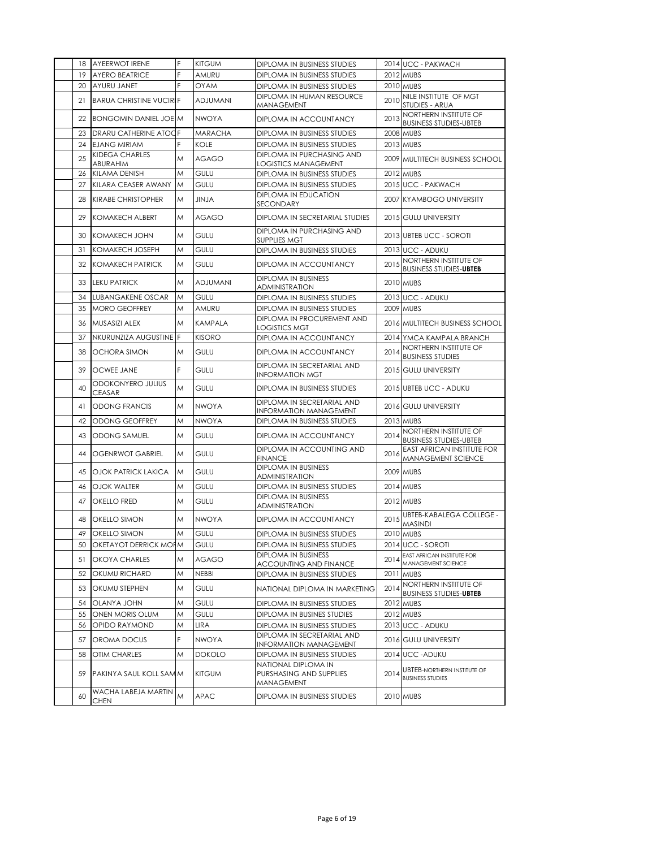|    | 18 AYEERWOT IRENE                  | F | <b>KITGUM</b>   | DIPLOMA IN BUSINESS STUDIES                                  |      | 2014 UCC - PAKWACH                                            |
|----|------------------------------------|---|-----------------|--------------------------------------------------------------|------|---------------------------------------------------------------|
| 19 | <b>AYERO BEATRICE</b>              |   | AMURU           | DIPLOMA IN BUSINESS STUDIES                                  |      | 2012 MUBS                                                     |
| 20 | AYURU JANET                        | F | <b>OYAM</b>     | DIPLOMA IN BUSINESS STUDIES                                  |      | 2010 MUBS                                                     |
| 21 | <b>BARUA CHRISTINE VUCIRIF</b>     |   | <b>ADJUMANI</b> | DIPLOMA IN HUMAN RESOURCE<br>MANAGEMENT                      |      | 2010 NILE INSTITUTE OF MGT<br>STUDIES - ARUA                  |
|    | 22 BONGOMIN DANIEL JOE M           |   | <b>NWOYA</b>    | DIPLOMA IN ACCOUNTANCY                                       | 2013 | NORTHERN INSTITUTE OF<br><b>BUSINESS STUDIES-UBTEB</b>        |
| 23 | DRARU CATHERINE ATOOF              |   | <b>MARACHA</b>  | DIPLOMA IN BUSINESS STUDIES                                  |      | <b>2008 MUBS</b>                                              |
| 24 | <b>EJANG MIRIAM</b>                |   | <b>KOLE</b>     | DIPLOMA IN BUSINESS STUDIES                                  |      | 2013 MUBS                                                     |
| 25 | KIDEGA CHARLES<br>ABURAHIM         | M | <b>AGAGO</b>    | DIPLOMA IN PURCHASING AND<br>LOGISTICS MANAGEMENT            |      | 2009 MULTITECH BUSINESS SCHOOL                                |
| 26 | <b>KILAMA DENISH</b>               | M | <b>GULU</b>     | DIPLOMA IN BUSINESS STUDIES                                  |      | 2012 MUBS                                                     |
| 27 | KILARA CEASER AWANY                | M | GULU            | DIPLOMA IN BUSINESS STUDIES                                  |      | 2015 UCC - PAKWACH                                            |
| 28 | <b>KIRABE CHRISTOPHER</b>          | M | ALVIL           | <b>DIPLOMA IN EDUCATION</b><br>SECONDARY                     |      | 2007 KYAMBOGO UNIVERSITY                                      |
| 29 | <b>KOMAKECH ALBERT</b>             | M | <b>AGAGO</b>    | DIPLOMA IN SECRETARIAL STUDIES                               |      | 2015 GULU UNIVERSITY                                          |
| 30 | KOMAKECH JOHN                      | M | <b>GULU</b>     | DIPLOMA IN PURCHASING AND<br><b>SUPPLIES MGT</b>             |      | 2013 UBTEB UCC - SOROTI                                       |
| 31 | <b>KOMAKECH JOSEPH</b>             | M | GULU            | DIPLOMA IN BUSINESS STUDIES                                  |      | 2013 UCC - ADUKU                                              |
| 32 | <b>KOMAKECH PATRICK</b>            | M | <b>GULU</b>     | DIPLOMA IN ACCOUNTANCY                                       | 2015 | NORTHERN INSTITUTE OF<br><b>BUSINESS STUDIES-UBTEB</b>        |
| 33 | <b>LEKU PATRICK</b>                | M | <b>ADJUMANI</b> | <b>DIPLOMA IN BUSINESS</b><br><b>ADMINISTRATION</b>          |      | 2010 MUBS                                                     |
| 34 | <b>LUBANGAKENE OSCAR</b>           | M | <b>GULU</b>     | DIPLOMA IN BUSINESS STUDIES                                  |      | 2013 UCC - ADUKU                                              |
| 35 | <b>MORO GEOFFREY</b>               | M | AMURU           | DIPLOMA IN BUSINESS STUDIES                                  |      | 2009 MUBS                                                     |
| 36 | MUSASIZI ALEX                      | M | <b>KAMPALA</b>  | DIPLOMA IN PROCUREMENT AND<br>LOGISTICS MGT                  |      | 2016 MULTITECH BUSINESS SCHOOL                                |
| 37 | NKURUNZIZA AUGUSTINE F             |   | <b>KISORO</b>   | DIPLOMA IN ACCOUNTANCY                                       |      | 2014 YMCA KAMPALA BRANCH                                      |
| 38 | <b>OCHORA SIMON</b>                | M | <b>GULU</b>     | DIPLOMA IN ACCOUNTANCY                                       | 2014 | NORTHERN INSTITUTE OF<br><b>BUSINESS STUDIES</b>              |
| 39 | <b>OCWEE JANE</b>                  | F | GULU            | DIPLOMA IN SECRETARIAL AND<br><b>INFORMATION MGT</b>         |      | 2015 GULU UNIVERSITY                                          |
| 40 | ODOKONYERO JULIUS<br><b>CEASAR</b> | M | <b>GULU</b>     | DIPLOMA IN BUSINESS STUDIES                                  |      | 2015 UBTEB UCC - ADUKU                                        |
| 41 | <b>ODONG FRANCIS</b>               | M | <b>NWOYA</b>    | DIPLOMA IN SECRETARIAL AND<br><b>INFORMATION MANAGEMENT</b>  |      | 2016 GULU UNIVERSITY                                          |
| 42 | ODONG GEOFFREY                     | M | <b>NWOYA</b>    | DIPLOMA IN BUSINESS STUDIES                                  |      | 2013 MUBS                                                     |
| 43 | <b>ODONG SAMUEL</b>                | M | <b>GULU</b>     | DIPLOMA IN ACCOUNTANCY                                       | 2014 | NORTHERN INSTITUTE OF<br><b>BUSINESS STUDIES-UBTEB</b>        |
| 44 | OGENRWOT GABRIEL                   | M | GULU            | DIPLOMA IN ACCOUNTING AND<br><b>FINANCE</b>                  | 2016 | <b>EAST AFRICAN INSTITUTE FOR</b><br>MANAGEMENT SCIENCE       |
|    | <b>45 OJOK PATRICK LAKICA</b>      | M | <b>GULU</b>     | <b>DIPLOMA IN BUSINESS</b><br><b>ADMINISTRATION</b>          |      | 2009 MUBS                                                     |
| 46 | OJOK WALTER                        | M | GULU            | DIPLOMA IN BUSINESS STUDIES                                  |      | 2014 MUBS                                                     |
| 47 | <b>OKELLO FRED</b>                 | M | <b>GULU</b>     | <b>DIPLOMA IN BUSINESS</b><br><b>ADMINISTRATION</b>          |      | 2012 MUBS                                                     |
| 48 | <b>OKELLO SIMON</b>                | M | <b>NWOYA</b>    | DIPLOMA IN ACCOUNTANCY                                       | 2015 | <b>UBTEB-KABALEGA COLLEGE -</b><br><b>MASINDI</b>             |
| 49 | <b>OKELLO SIMON</b>                | M | GULU            | DIPLOMA IN BUSINESS STUDIES                                  |      | 2010 MUBS                                                     |
| 50 | OKETAYOT DERRICK MORM              |   | GULU            | DIPLOMA IN BUSINESS STUDIES                                  |      | 2014 UCC - SOROTI                                             |
| 51 | OKOYA CHARLES                      | M | <b>AGAGO</b>    | <b>DIPLOMA IN BUSINESS</b><br><b>ACCOUNTING AND FINANCE</b>  | 2014 | EAST AFRICAN INSTITUTE FOR<br>MANAGEMENT SCIENCE              |
| 52 | OKUMU RICHARD                      | M | NEBBI           | DIPLOMA IN BUSINESS STUDIES                                  |      | 2011 MUBS                                                     |
| 53 | OKUMU STEPHEN                      | M | <b>GULU</b>     | NATIONAL DIPLOMA IN MARKETING                                | 2014 | NORTHERN INSTITUTE OF<br><b>BUSINESS STUDIES-UBTEB</b>        |
| 54 | <b>OLANYA JOHN</b>                 | M | GULU            | DIPLOMA IN BUSINESS STUDIES                                  |      | 2012 MUBS                                                     |
| 55 | ONEN MORIS OLUM                    | M | GULU            | DIPLOMA IN BUSINES STUDIES                                   |      | 2012 MUBS                                                     |
| 56 | OPIDO RAYMOND                      | Μ | LIRA            | DIPLOMA IN BUSINESS STUDIES<br>DIPLOMA IN SECRETARIAL AND    |      | 2013 UCC - ADUKU                                              |
| 57 | OROMA DOCUS                        | F | <b>NWOYA</b>    | INFORMATION MANAGEMENT                                       |      | 2016 GULU UNIVERSITY                                          |
| 58 | OTIM CHARLES                       | M | <b>DOKOLO</b>   | DIPLOMA IN BUSINESS STUDIES                                  |      | 2014 UCC - ADUKU                                              |
| 59 | PAKINYA SAUL KOLL SAMM             |   | <b>KITGUM</b>   | NATIONAL DIPLOMA IN<br>PURSHASING AND SUPPLIES<br>MANAGEMENT | 2014 | <b>UBTEB-NORTHERN INSTITUTE OF</b><br><b>BUSINESS STUDIES</b> |
| 60 | WACHA LABEJA MARTIN<br><b>CHEN</b> | M | APAC            | DIPLOMA IN BUSINESS STUDIES                                  |      | 2010 MUBS                                                     |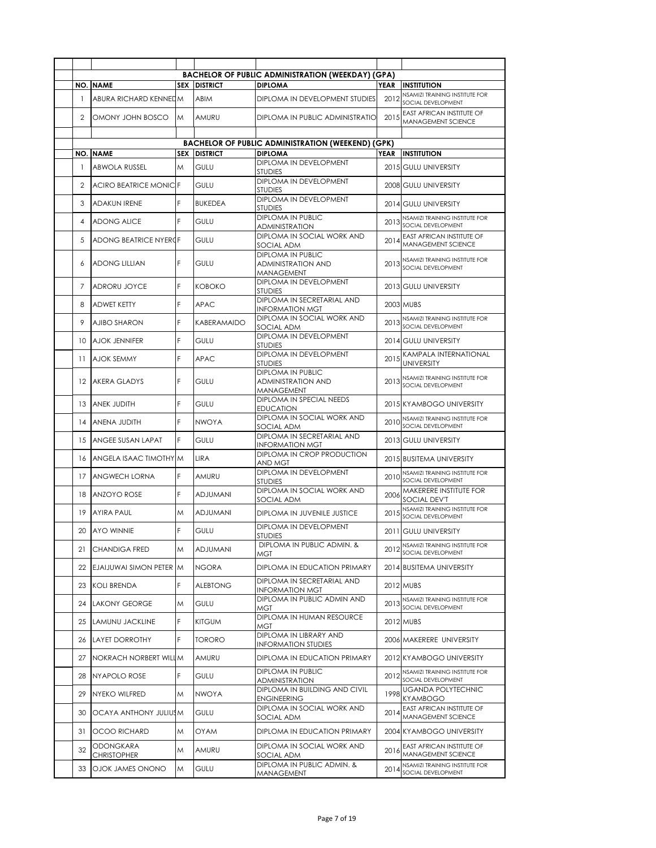|                |                                 |            |                 | <b>BACHELOR OF PUBLIC ADMINISTRATION (WEEKDAY) (GPA)</b>                   |      |                                                               |
|----------------|---------------------------------|------------|-----------------|----------------------------------------------------------------------------|------|---------------------------------------------------------------|
| NO.            | <b>NAME</b>                     | <b>SEX</b> | <b>DISTRICT</b> | <b>DIPLOMA</b>                                                             | YEAR | <b>INSTITUTION</b>                                            |
| $\mathbf{1}$   | ABURA RICHARD KENNEDM           |            | <b>ABIM</b>     | DIPLOMA IN DEVELOPMENT STUDIES                                             | 2012 | NSAMIZI TRAINING INSTITUTE FOR<br>SOCIAL DEVELOPMENT          |
| 2              | OMONY JOHN BOSCO                | M          | AMURU           | DIPLOMA IN PUBLIC ADMINISTRATIO                                            | 2015 | <b>EAST AFRICAN INSTITUTE OF</b><br><b>MANAGEMENT SCIENCE</b> |
|                |                                 |            |                 |                                                                            |      |                                                               |
|                | <b>NO. NAME</b>                 | <b>SEX</b> | <b>DISTRICT</b> | <b>BACHELOR OF PUBLIC ADMINISTRATION (WEEKEND) (GPK)</b><br><b>DIPLOMA</b> | YEAR | <b>INSTITUTION</b>                                            |
|                |                                 |            |                 | DIPLOMA IN DEVELOPMENT                                                     |      |                                                               |
| $\mathbf{1}$   | <b>ABWOLA RUSSEL</b>            | M          | <b>GULU</b>     | <b>STUDIES</b>                                                             |      | 2015 GULU UNIVERSITY                                          |
| $\overline{2}$ | <b>ACIRO BEATRICE MONICIF</b>   |            | GULU            | DIPLOMA IN DEVELOPMENT<br><b>STUDIES</b>                                   |      | 2008 GULU UNIVERSITY                                          |
| 3              | <b>ADAKUN IRENE</b>             | F          | <b>BUKEDEA</b>  | DIPLOMA IN DEVELOPMENT<br><b>STUDIES</b>                                   |      | 2014 GULU UNIVERSITY                                          |
| 4              | <b>ADONG ALICE</b>              | F          | GULU            | DIPLOMA IN PUBLIC<br><b>ADMINISTRATION</b>                                 |      | NSAMIZI TRAINING INSTITUTE FOR<br>2013 SOCIAL DEVELOPMENT     |
| 5              | ADONG BEATRICE NYEROF           |            | GULU            | DIPLOMA IN SOCIAL WORK AND<br>SOCIAL ADM                                   | 2014 | <b>EAST AFRICAN INSTITUTE OF</b><br>MANAGEMENT SCIENCE        |
| 6              | <b>ADONG LILLIAN</b>            | F          | GULU            | <b>DIPLOMA IN PUBLIC</b><br><b>ADMINISTRATION AND</b><br>MANAGEMENT        | 2013 | NSAMIZI TRAINING INSTITUTE FOR<br>SOCIAL DEVELOPMENT          |
| 7              | <b>ADRORU JOYCE</b>             | F          | <b>KOBOKO</b>   | DIPLOMA IN DEVELOPMENT<br><b>STUDIES</b>                                   |      | 2013 GULU UNIVERSITY                                          |
| 8              | <b>ADWET KETTY</b>              | F          | <b>APAC</b>     | DIPLOMA IN SECRETARIAL AND<br><b>INFORMATION MGT</b>                       |      | 2003 MUBS                                                     |
| 9              | <b>AJIBO SHARON</b>             | F          | KABERAMAIDO     | DIPLOMA IN SOCIAL WORK AND<br>SOCIAL ADM                                   | 2013 | NSAMIZI TRAINING INSTITUTE FOR<br>SOCIAL DEVELOPMENT          |
| 10             | <b>AJOK JENNIFER</b>            | F          | <b>GULU</b>     | DIPLOMA IN DEVELOPMENT<br>STUDIES                                          |      | 2014 GULU UNIVERSITY                                          |
| 11             | <b>AJOK SEMMY</b>               | F          | <b>APAC</b>     | DIPLOMA IN DEVELOPMENT<br><b>STUDIES</b>                                   | 2015 | KAMPALA INTERNATIONAL<br><b>UNIVERSITY</b>                    |
| 12             | <b>AKERA GLADYS</b>             | F          | GULU            | DIPLOMA IN PUBLIC<br><b>ADMINISTRATION AND</b><br>MANAGEMENT               | 2013 | NSAMIZI TRAINING INSTITUTE FOR<br>SOCIAL DEVELOPMENT          |
| 13             | ANEK JUDITH                     | F          | GULU            | DIPLOMA IN SPECIAL NEEDS<br><b>EDUCATION</b>                               |      | 2015 KYAMBOGO UNIVERSITY                                      |
| 14             | <b>ANENA JUDITH</b>             | F          | <b>NWOYA</b>    | DIPLOMA IN SOCIAL WORK AND<br>SOCIAL ADM                                   | 2010 | NSAMIZI TRAINING INSTITUTE FOR<br>SOCIAL DEVELOPMENT          |
| 15             | ANGEE SUSAN LAPAT               | F          | <b>GULU</b>     | DIPLOMA IN SECRETARIAL AND<br>INFORMATION MGT                              |      | 2013 GULU UNIVERSITY                                          |
| 16             | ANGELA ISAAC TIMOTHY M          |            | <b>LIRA</b>     | DIPLOMA IN CROP PRODUCTION<br>AND MGT                                      |      | 2015 BUSITEMA UNIVERSITY                                      |
| 17             | <b>ANGWECH LORNA</b>            | F          | AMURU           | DIPLOMA IN DEVELOPMENT<br><b>STUDIES</b>                                   | 2010 | NSAMIZI TRAINING INSTITUTE FOR<br>SOCIAL DEVELOPMENT          |
| 18             | <b>ANZOYO ROSE</b>              | F          | <b>ADJUMANI</b> | DIPLOMA IN SOCIAL WORK AND<br>SOCIAL ADM                                   | 2006 | MAKERERE INSTITUTE FOR<br><b>SOCIAL DEV'T</b>                 |
| 19             | <b>AYIRA PAUL</b>               | M          | <b>ADJUMANI</b> | DIPLOMA IN JUVENILE JUSTICE                                                | 2015 | NSAMIZI TRAINING INSTITUTE FOR<br>SOCIAL DEVELOPMENT          |
| 20             | <b>AYO WINNIE</b>               | F          | <b>GULU</b>     | DIPLOMA IN DEVELOPMENT<br><b>STUDIES</b>                                   |      | 2011 GULU UNIVERSITY                                          |
| 21             | <b>CHANDIGA FRED</b>            | M          | ADJUMANI        | DIPLOMA IN PUBLIC ADMIN. &<br>MGT                                          |      | NSAMIZI TRAINING INSTITUTE FOR<br>2012 SOCIAL DEVELOPMENT     |
| 22             | EJAIJUWAI SIMON PETER M         |            | <b>NGORA</b>    | DIPLOMA IN EDUCATION PRIMARY                                               |      | 2014 BUSITEMA UNIVERSITY                                      |
| 23             | <b>KOLI BRENDA</b>              | F          | <b>ALEBTONG</b> | DIPLOMA IN SECRETARIAL AND<br>INFORMATION MGT                              |      | 2012 MUBS                                                     |
| 24             | <b>LAKONY GEORGE</b>            | M          | GULU            | DIPLOMA IN PUBLIC ADMIN AND<br>MGT                                         | 2013 | NSAMIZI TRAINING INSTITUTE FOR<br>SOCIAL DEVELOPMENT          |
| 25             | LAMUNU JACKLINE                 | F          | <b>KITGUM</b>   | DIPLOMA IN HUMAN RESOURCE<br>MGT                                           |      | 2012 MUBS                                                     |
| 26             | <b>LAYET DORROTHY</b>           | F          | <b>TORORO</b>   | DIPLOMA IN LIBRARY AND<br><b>INFORMATION STUDIES</b>                       |      | 2006 MAKERERE UNIVERSITY                                      |
| 27             | NOKRACH NORBERT WILLIM          |            | AMURU           | DIPLOMA IN EDUCATION PRIMARY                                               |      | 2012 KYAMBOGO UNIVERSITY                                      |
| 28             | NY APOLO ROSE                   | F          | gulu            | DIPLOMA IN PUBLIC<br><b>ADMINISTRATION</b>                                 | 2012 | NSAMIZI TRAINING INSTITUTE FOR<br>SOCIAL DEVELOPMENT          |
| 29             | NYEKO WILFRED                   | M          | <b>NWOYA</b>    | DIPLOMA IN BUILDING AND CIVIL<br><b>ENGINEERING</b>                        | 1998 | <b>UGANDA POLYTECHNIC</b><br>KYAMBOGO                         |
| 30             | OCAYA ANTHONY JULIUSM           |            | GULU            | DIPLOMA IN SOCIAL WORK AND<br>SOCIAL ADM                                   | 2014 | EAST AFRICAN INSTITUTE OF<br>MANAGEMENT SCIENCE               |
| 31             | <b>OCOO RICHARD</b>             | M          | <b>OYAM</b>     | DIPLOMA IN EDUCATION PRIMARY                                               |      | 2004 KYAMBOGO UNIVERSITY                                      |
| 32             | ODONGKARA<br><b>CHRISTOPHER</b> | M          | AMURU           | DIPLOMA IN SOCIAL WORK AND<br>SOCIAL ADM                                   | 2016 | <b>EAST AFRICAN INSTITUTE OF</b><br>MANAGEMENT SCIENCE        |
| 33             | OJOK JAMES ONONO                | M          | GULU            | DIPLOMA IN PUBLIC ADMIN. &<br>MANAGEMENT                                   | 2014 | NSAMIZI TRAINING INSTITUTE FOR<br>SOCIAL DEVELOPMENT          |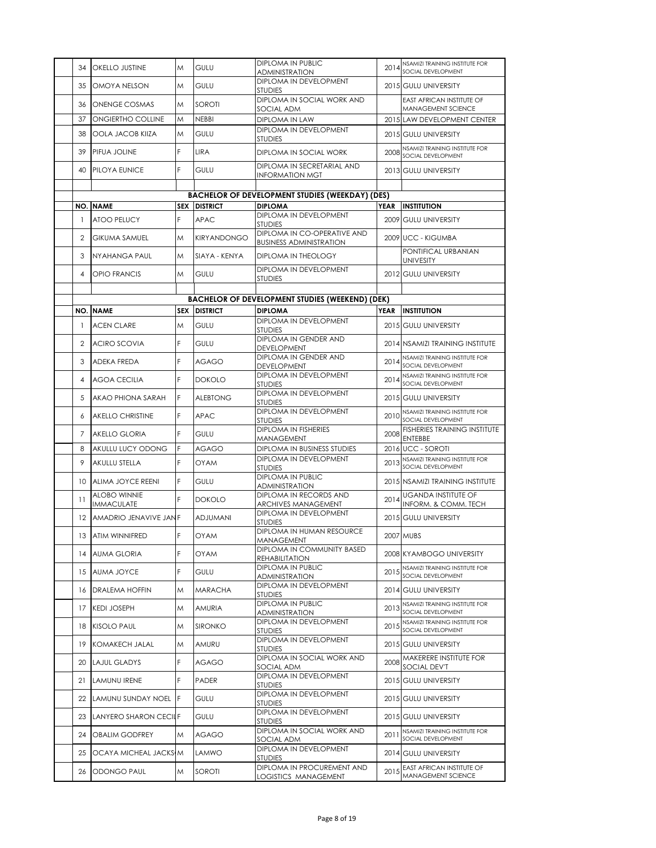| 34  | OKELLO JUSTINE                           | M          | <b>GULU</b>         | <b>DIPLOMA IN PUBLIC</b>                                      | 2014        | NSAMIZI TRAINING INSTITUTE FOR                         |
|-----|------------------------------------------|------------|---------------------|---------------------------------------------------------------|-------------|--------------------------------------------------------|
|     |                                          |            |                     | <b>ADMINISTRATION</b><br>DIPLOMA IN DEVELOPMENT               |             | SOCIAL DEVELOPMENT                                     |
| 35  | OMOYA NELSON                             | M          | <b>GULU</b>         | <b>STUDIES</b>                                                |             | 2015 GULU UNIVERSITY                                   |
| 36  | <b>ONENGE COSMAS</b>                     | M          | SOROTI              | DIPLOMA IN SOCIAL WORK AND<br>SOCIAL ADM                      |             | <b>EAST AFRICAN INSTITUTE OF</b><br>MANAGEMENT SCIENCE |
| 37  | ONGIERTHO COLLINE                        | M          | <b>NEBBI</b>        | DIPLOMA IN LAW<br>DIPLOMA IN DEVELOPMENT                      |             | 2015 LAW DEVELOPMENT CENTER                            |
| 38  | <b>OOLA JACOB KIIZA</b>                  | M          | GULU                | <b>STUDIES</b>                                                |             | 2015 GULU UNIVERSITY                                   |
| 39  | PIFUA JOLINE                             | F          | <b>LIRA</b>         | DIPLOMA IN SOCIAL WORK                                        | 2008        | NSAMIZI TRAINING INSTITUTE FOR<br>SOCIAL DEVELOPMENT   |
| 40  | PILOYA EUNICE                            | F          | <b>GULU</b>         | DIPLOMA IN SECRETARIAL AND<br><b>INFORMATION MGT</b>          |             | 2013 GULU UNIVERSITY                                   |
|     |                                          |            |                     | <b>BACHELOR OF DEVELOPMENT STUDIES (WEEKDAY) (DES)</b>        |             |                                                        |
|     | <b>NO. NAME</b>                          |            | <b>SEX DISTRICT</b> | <b>DIPLOMA</b>                                                | <b>YEAR</b> | <b>INSTITUTION</b>                                     |
| 1   | ATOO PELUCY                              | F          | <b>APAC</b>         | DIPLOMA IN DEVELOPMENT<br><b>STUDIES</b>                      |             | 2009 GULU UNIVERSITY                                   |
| 2   | <b>GIKUMA SAMUEL</b>                     | M          | KIRYANDONGO         | DIPLOMA IN CO-OPERATIVE AND<br><b>BUSINESS ADMINISTRATION</b> |             | 2009 UCC - KIGUMBA                                     |
| 3   | NYAHANGA PAUL                            | M          | SIAYA - KENYA       | DIPLOMA IN THEOLOGY                                           |             | PONTIFICAL URBANIAN<br><b>UNIVESITY</b>                |
| 4   | <b>OPIO FRANCIS</b>                      | M          | GULU                | DIPLOMA IN DEVELOPMENT<br><b>STUDIES</b>                      |             | 2012 GULU UNIVERSITY                                   |
|     |                                          |            |                     |                                                               |             |                                                        |
|     |                                          |            |                     | <b>BACHELOR OF DEVELOPMENT STUDIES (WEEKEND) (DEK)</b>        |             |                                                        |
| NO. | <b>NAME</b>                              | <b>SEX</b> | <b>DISTRICT</b>     | <b>DIPLOMA</b><br>DIPLOMA IN DEVELOPMENT                      | <b>YEAR</b> | <b>INSTITUTION</b>                                     |
| 1   | <b>ACEN CLARE</b>                        | M          | <b>GULU</b>         | <b>STUDIES</b>                                                |             | 2015 GULU UNIVERSITY                                   |
| 2   | <b>ACIRO SCOVIA</b>                      | F          | GULU                | DIPLOMA IN GENDER AND<br>DEVELOPMENT                          |             | 2014 NSAMIZI TRAINING INSTITUTE                        |
| 3   | ADEKA FREDA                              | F          | <b>AGAGO</b>        | DIPLOMA IN GENDER AND<br><b>DEVELOPMENT</b>                   | 2014        | NSAMIZI TRAINING INSTITUTE FOR<br>SOCIAL DEVELOPMENT   |
| 4   | <b>AGOA CECILIA</b>                      | F          | <b>DOKOLO</b>       | DIPLOMA IN DEVELOPMENT<br><b>STUDIES</b>                      | 2014        | NSAMIZI TRAINING INSTITUTE FOR<br>SOCIAL DEVELOPMENT   |
| 5   | AKAO PHIONA SARAH                        | F          | <b>ALEBTONG</b>     | DIPLOMA IN DEVELOPMENT<br><b>STUDIES</b>                      |             | 2015 GULU UNIVERSITY                                   |
| 6   | <b>AKELLO CHRISTINE</b>                  | F          | <b>APAC</b>         | DIPLOMA IN DEVELOPMENT<br><b>STUDIES</b>                      | 2010        | NSAMIZI TRAINING INSTITUTE FOR<br>SOCIAL DEVELOPMENT   |
| 7   | <b>AKELLO GLORIA</b>                     | F          | <b>GULU</b>         | <b>DIPLOMA IN FISHERIES</b><br>MANAGEMENT                     | 2008        | FISHERIES TRAINING INSTITUTE<br><b>ENTEBBE</b>         |
| 8   | AKULLU LUCY ODONG                        | F          | AGAGO               | DIPLOMA IN BUSINESS STUDIES                                   |             | 2016 UCC - SOROTI                                      |
| 9   | AKULLU STELLA                            | F          | <b>OYAM</b>         | DIPLOMA IN DEVELOPMENT<br><b>STUDIES</b>                      | 2013        | NSAMIZI TRAINING INSTITUTE FOR<br>SOCIAL DEVELOPMENT   |
| 10  | ALIMA JOYCE REENI                        | F          | <b>GULU</b>         | <b>DIPLOMA IN PUBLIC</b><br><b>ADMINISTRATION</b>             |             | 2015 NSAMIZI TRAINING INSTITUTE                        |
| 11  | <b>ALOBO WINNIE</b><br><b>IMMACULATE</b> | F          | <b>DOKOLO</b>       | DIPLOMA IN RECORDS AND<br><b>ARCHIVES MANAGEMENT</b>          | 2014        | <b>UGANDA INSTITUTE OF</b><br>INFORM. & COMM. TECH     |
| 12  | AMADRIO JENAVIVE JANF                    |            | <b>ADJUMANI</b>     | DIPLOMA IN DEVELOPMENT<br><b>STUDIES</b>                      |             | 2015 GULU UNIVERSITY                                   |
| 13  | ATIM WINNIFRED                           | F          | <b>OYAM</b>         | DIPLOMA IN HUMAN RESOURCE<br>MANAGEMENT                       |             | 2007 MUBS                                              |
| 14  | <b>AUMA GLORIA</b>                       | F          | OYAM                | DIPLOMA IN COMMUNITY BASED<br>REHABILITATION                  |             | 2008 KYAMBOGO UNIVERSITY                               |
| 15  | AUMA JOYCE                               | F          | gulu                | DIPLOMA IN PUBLIC<br>ADMINISTRATION                           | 2015        | NSAMIZI TRAINING INSTITUTE FOR<br>SOCIAL DEVELOPMENT   |
| 16  | <b>DRALEMA HOFFIN</b>                    | Μ          | <b>MARACHA</b>      | DIPLOMA IN DEVELOPMENT<br><b>STUDIES</b>                      |             | 2014 GULU UNIVERSITY                                   |
| 17  | <b>KEDI JOSEPH</b>                       | Μ          | AMURIA              | DIPLOMA IN PUBLIC<br>ADMINISTRATION                           | 2013        | NSAMIZI TRAINING INSTITUTE FOR<br>SOCIAL DEVELOPMENT   |
| 18  | <b>KISOLO PAUL</b>                       | Μ          | <b>SIRONKO</b>      | DIPLOMA IN DEVELOPMENT<br><b>STUDIES</b>                      | 2015        | NSAMIZI TRAINING INSTITUTE FOR<br>SOCIAL DEVELOPMENT   |
| 19  | <b>KOMAKECH JALAL</b>                    | Μ          | AMURU               | DIPLOMA IN DEVELOPMENT<br><b>STUDIES</b>                      |             | 2015 GULU UNIVERSITY                                   |
| 20  | LAJUL GLADYS                             | F          | AGAGO               | DIPLOMA IN SOCIAL WORK AND<br>SOCIAL ADM                      | 2008        | MAKERERE INSTITUTE FOR<br>SOCIAL DEV'T                 |
| 21  | LAMUNU IRENE                             | F          | PADER               | DIPLOMA IN DEVELOPMENT<br><b>STUDIES</b>                      |             | 2015 GULU UNIVERSITY                                   |
| 22  | LAMUNU SUNDAY NOEL F                     |            | GULU                | DIPLOMA IN DEVELOPMENT<br><b>STUDIES</b>                      |             | 2015 GULU UNIVERSITY                                   |
|     | 23 LANYERO SHARON CECILF                 |            | GULU                | DIPLOMA IN DEVELOPMENT<br><b>STUDIES</b>                      |             | 2015 GULU UNIVERSITY                                   |
| 24  | <b>OBALIM GODFREY</b>                    | M          | AGAGO               | DIPLOMA IN SOCIAL WORK AND<br>SOCIAL ADM                      | 2011        | NSAMIZI TRAINING INSTITUTE FOR<br>SOCIAL DEVELOPMENT   |
| 25  | OCAYA MICHEAL JACKSIM                    |            | LAMWO               | DIPLOMA IN DEVELOPMENT<br><b>STUDIES</b>                      |             | 2014 GULU UNIVERSITY                                   |
| 26  | ODONGO PAUL                              | M          | SOROTI              | DIPLOMA IN PROCUREMENT AND<br>LOGISTICS MANAGEMENT            | 2015        | EAST AFRICAN INSTITUTE OF<br>MANAGEMENT SCIENCE        |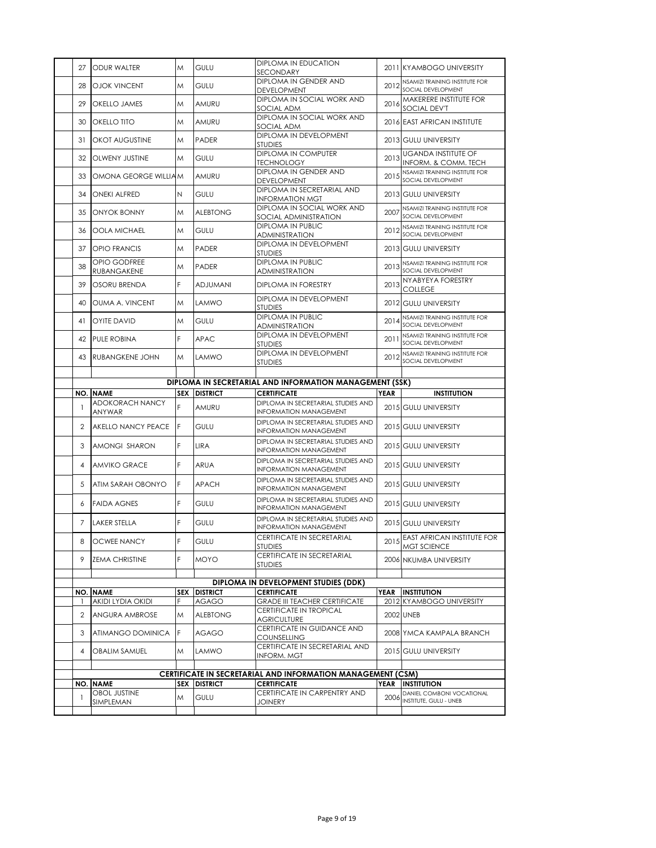| 27             | <b>ODUR WALTER</b>                      | Μ          | GULU            | DIPLOMA IN EDUCATION                                                |             | 2011 KYAMBOGO UNIVERSITY                                                 |
|----------------|-----------------------------------------|------------|-----------------|---------------------------------------------------------------------|-------------|--------------------------------------------------------------------------|
|                |                                         |            |                 | SECONDARY<br>DIPLOMA IN GENDER AND                                  |             | NSAMIZI TRAINING INSTITUTE FOR                                           |
| 28             | <b>OJOK VINCENT</b>                     | Μ          | <b>GULU</b>     | <b>DEVELOPMENT</b>                                                  | 2012        | SOCIAL DEVELOPMENT                                                       |
| 29             | OKELLO JAMES                            | M          | AMURU           | DIPLOMA IN SOCIAL WORK AND<br>SOCIAL ADM                            | 2016        | MAKERERE INSTITUTE FOR<br><b>SOCIAL DEV'T</b>                            |
| 30             | OKELLO TITO                             | M          | AMURU           | DIPLOMA IN SOCIAL WORK AND<br>SOCIAL ADM                            |             | 2016 EAST AFRICAN INSTITUTE                                              |
| 31             | OKOT AUGUSTINE                          | Μ          | <b>PADER</b>    | DIPLOMA IN DEVELOPMENT<br><b>STUDIES</b>                            |             | 2013 GULU UNIVERSITY                                                     |
| 32             | <b>OLWENY JUSTINE</b>                   | Μ          | <b>GULU</b>     | <b>DIPLOMA IN COMPUTER</b><br>TECHNOLOGY                            | 2013        | <b>UGANDA INSTITUTE OF</b><br>INFORM. & COMM. TECH                       |
| 33             | OMONA GEORGE WILLIAM                    |            | AMURU           | DIPLOMA IN GENDER AND<br><b>DEVELOPMENT</b>                         | 2015        | NSAMIZI TRAINING INSTITUTE FOR<br>SOCIAL DEVELOPMENT                     |
| 34             | <b>ONEKI ALFRED</b>                     | Ν          | GULU            | DIPLOMA IN SECRETARIAL AND<br>INFORMATION MGT                       |             | 2013 GULU UNIVERSITY                                                     |
| 35             | ONYOK BONNY                             | M          | <b>ALEBTONG</b> | DIPLOMA IN SOCIAL WORK AND<br>SOCIAL ADMINISTRATION                 | 2007        | NSAMIZI TRAINING INSTITUTE FOR<br>SOCIAL DEVELOPMENT                     |
| 36             | <b>OOLA MICHAEL</b>                     | M          | GULU            | <b>DIPLOMA IN PUBLIC</b><br><b>ADMINISTRATION</b>                   | 2012        | NSAMIZI TRAINING INSTITUTE FOR<br>SOCIAL DEVELOPMENT                     |
| 37             | <b>OPIO FRANCIS</b>                     | M          | <b>PADER</b>    | DIPLOMA IN DEVELOPMENT<br><b>STUDIES</b>                            |             | 2013 GULU UNIVERSITY                                                     |
| 38             | OPIO GODFREE<br>RUBANGAKENE             | Μ          | PADER           | <b>DIPLOMA IN PUBLIC</b><br><b>ADMINISTRATION</b>                   | 2013        | NSAMIZI TRAINING INSTITUTE FOR<br>SOCIAL DEVELOPMENT                     |
| 39             | OSORU BRENDA                            | F          | <b>ADJUMANI</b> | <b>DIPLOMA IN FORESTRY</b>                                          | 2013        | NYABYEYA FORESTRY<br><b>COLLEGE</b>                                      |
| 40             | OUMA A. VINCENT                         | M          | LAMWO           | DIPLOMA IN DEVELOPMENT<br><b>STUDIES</b>                            |             | 2012 GULU UNIVERSITY                                                     |
| 41             | <b>OYITE DAVID</b>                      | Μ          | GULU            | <b>DIPLOMA IN PUBLIC</b><br>ADMINISTRATION                          | 2014        | NSAMIZI TRAINING INSTITUTE FOR<br>SOCIAL DEVELOPMENT                     |
| 42             | <b>PULE ROBINA</b>                      | F          | <b>APAC</b>     | DIPLOMA IN DEVELOPMENT<br><b>STUDIES</b>                            | 2011        | NSAMIZI TRAINING INSTITUTE FOR<br>SOCIAL DEVELOPMENT                     |
| 43             | <b>RUBANGKENE JOHN</b>                  | M          | LAMWO           | DIPLOMA IN DEVELOPMENT<br><b>STUDIES</b>                            | 2012        | NSAMIZI TRAINING INSTITUTE FOR<br>SOCIAL DEVELOPMENT                     |
|                |                                         |            |                 |                                                                     |             |                                                                          |
|                |                                         |            |                 | DIPLOMA IN SECRETARIAL AND INFORMATION MANAGEMENT (SSK)             |             |                                                                          |
|                |                                         |            |                 |                                                                     |             |                                                                          |
| NO.            | <b>NAME</b>                             | <b>SEX</b> | <b>DISTRICT</b> | <b>CERTIFICATE</b>                                                  | <b>YEAR</b> | <b>INSTITUTION</b>                                                       |
| 1              | <b>ADOKORACH NANCY</b><br><b>ANYWAR</b> | F          | AMURU           | DIPLOMA IN SECRETARIAL STUDIES AND<br><b>INFORMATION MANAGEMENT</b> |             | 2015 GULU UNIVERSITY                                                     |
| $\overline{2}$ | AKELLO NANCY PEACE                      | F          | GULU            | DIPLOMA IN SECRETARIAL STUDIES AND<br><b>INFORMATION MANAGEMENT</b> |             | 2015 GULU UNIVERSITY                                                     |
| 3              | AMONGI SHARON                           | F          | LIRA            | DIPLOMA IN SECRETARIAL STUDIES AND<br><b>INFORMATION MANAGEMENT</b> |             | 2015 GULU UNIVERSITY                                                     |
| 4              | <b>AMVIKO GRACE</b>                     | F          | <b>ARUA</b>     | DIPLOMA IN SECRETARIAL STUDIES AND<br><b>INFORMATION MANAGEMENT</b> |             | 2015 GULU UNIVERSITY                                                     |
| 5              | ATIM SARAH OBONYO                       | F          | <b>APACH</b>    | DIPLOMA IN SECRETARIAL STUDIES AND<br><b>INFORMATION MANAGEMENT</b> |             | 2015 GULU UNIVERSITY                                                     |
| 6              | <b>FAIDA AGNES</b>                      | F          | GULU            | DIPLOMA IN SECRETARIAL STUDIES AND                                  |             | 2015 GULU UNIVERSITY                                                     |
| 7              | <b>LAKER STELLA</b>                     | F          | GULU            | <b>INFORMATION MANAGEMENT</b><br>DIPLOMA IN SECRETARIAL STUDIES AND |             | 2015 GULU UNIVERSITY                                                     |
| 8              | <b>OCWEE NANCY</b>                      | F          | <b>GULU</b>     | <b>INFORMATION MANAGEMENT</b><br>CERTIFICATE IN SECRETARIAL         |             |                                                                          |
| 9              | <b>ZEMA CHRISTINE</b>                   | F          | <b>MOYO</b>     | <b>STUDIES</b><br>CERTIFICATE IN SECRETARIAL                        |             | 2015 EAST AFRICAN INSTITUTE FOR<br>MGT SCIENCE<br>2006 NKUMBA UNIVERSITY |
|                |                                         |            |                 | <b>STUDIES</b>                                                      |             |                                                                          |
|                |                                         |            |                 | DIPLOMA IN DEVELOPMENT STUDIES (DDK)                                |             |                                                                          |
| NO. I          | <b>NAME</b>                             | SEX        | <b>DISTRICT</b> | <b>CERTIFICATE</b>                                                  | <b>YEAR</b> | <b>INSTITUTION</b>                                                       |
|                | AKIDI LYDIA OKIDI                       | F          | <b>AGAGO</b>    | <b>GRADE III TEACHER CERTIFICATE</b>                                |             | 2012 KYAMBOGO UNIVERSITY                                                 |
| 2              | ANGURA AMBROSE                          | Μ          | <b>ALEBTONG</b> | CERTIFICATE IN TROPICAL<br><b>AGRICULTURE</b>                       |             | <b>2002 UNEB</b>                                                         |
| 3              | ATIMANGO DOMINICA                       | F          | AGAGO           | CERTIFICATE IN GUIDANCE AND<br><b>COUNSELLING</b>                   |             | 2008 YMCA KAMPALA BRANCH                                                 |
| 4              | <b>OBALIM SAMUEL</b>                    | M          | <b>LAMWO</b>    | CERTIFICATE IN SECRETARIAL AND<br><b>INFORM. MGT</b>                |             | 2015 GULU UNIVERSITY                                                     |
|                |                                         |            |                 |                                                                     |             |                                                                          |
|                |                                         |            |                 | CERTIFICATE IN SECRETARIAL AND INFORMATION MANAGEMENT (CSM)         |             |                                                                          |
| NO.            | <b>NAME</b>                             | <b>SEX</b> | <b>DISTRICT</b> | <b>CERTIFICATE</b>                                                  | YEAR        | <b>INSTITUTION</b>                                                       |
| $\overline{1}$ | <b>OBOL JUSTINE</b><br>SIMPLEMAN        | M          | GULU            | CERTIFICATE IN CARPENTRY AND<br><b>JOINERY</b>                      | 2006        | DANIEL COMBONI VOCATIONAL<br>INSTITUTE, GULU - UNEB                      |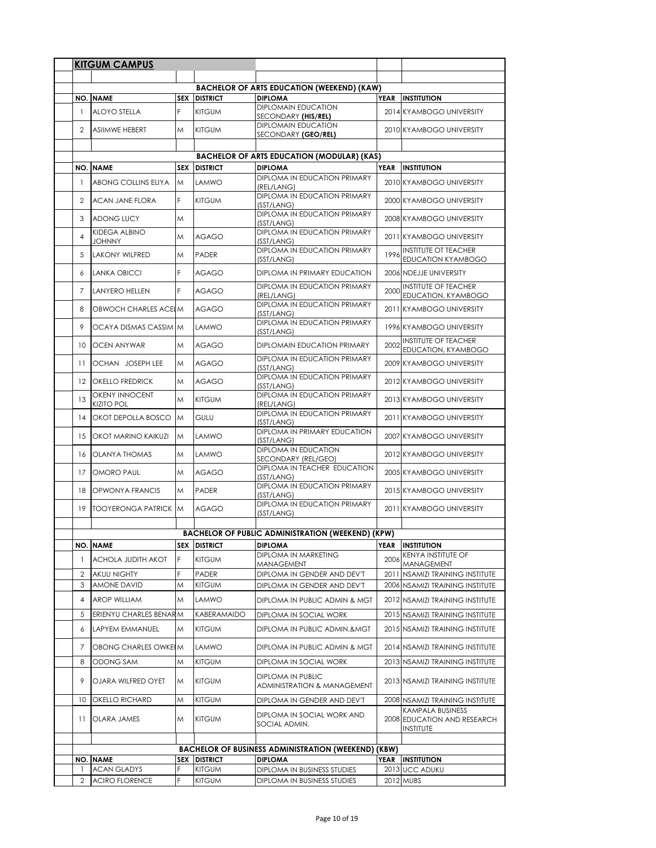|                | <b>KITGUM CAMPUS</b>                       |     |                     |                                                                     |             |                                                                     |
|----------------|--------------------------------------------|-----|---------------------|---------------------------------------------------------------------|-------------|---------------------------------------------------------------------|
|                |                                            |     |                     |                                                                     |             |                                                                     |
|                | <b>NO. NAME</b>                            |     | <b>SEX DISTRICT</b> | <b>BACHELOR OF ARTS EDUCATION (WEEKEND) (KAW)</b><br><b>DIPLOMA</b> | YEAR        | <b>INSTITUTION</b>                                                  |
| $\mathbf{1}$   | <b>ALOYO STELLA</b>                        | F   | <b>KITGUM</b>       | <b>DIPLOMAIN EDUCATION</b>                                          |             | 2014 KYAMBOGO UNIVERSITY                                            |
|                |                                            |     |                     | SECONDARY (HIS/REL)<br><b>DIPLOMAIN EDUCATION</b>                   |             |                                                                     |
| $\overline{2}$ | <b>ASIIMWE HEBERT</b>                      | M   | <b>KITGUM</b>       | SECONDARY (GEO/REL)                                                 |             | 2010 KYAMBOGO UNIVERSITY                                            |
|                |                                            |     |                     |                                                                     |             |                                                                     |
|                | <b>NO. NAME</b>                            | SEX | <b>DISTRICT</b>     | <b>BACHELOR OF ARTS EDUCATION (MODULAR) (KAS)</b><br><b>DIPLOMA</b> | YEAR        | <b>INSTITUTION</b>                                                  |
| $\mathbf{1}$   | ABONG COLLINS ELIYA                        | M   | LAMWO               | DIPLOMA IN EDUCATION PRIMARY                                        |             | 2010 KYAMBOGO UNIVERSITY                                            |
|                |                                            |     |                     | (REL/LANG)<br>DIPLOMA IN EDUCATION PRIMARY                          |             |                                                                     |
| $\overline{2}$ | <b>ACAN JANE FLORA</b>                     | F   | <b>KITGUM</b>       | (SST/LANG)                                                          |             | 2000 KYAMBOGO UNIVERSITY                                            |
| 3              | <b>ADONG LUCY</b>                          | M   |                     | DIPLOMA IN EDUCATION PRIMARY<br>(SST/LANG)                          |             | 2008 KYAMBOGO UNIVERSITY                                            |
| 4              | KIDEGA ALBINO<br>YUHNUL                    | M   | <b>AGAGO</b>        | DIPLOMA IN EDUCATION PRIMARY<br>(SST/LANG)                          |             | 2011 KYAMBOGO UNIVERSITY                                            |
| 5              | <b>LAKONY WILFRED</b>                      | M   | PADER               | DIPLOMA IN EDUCATION PRIMARY                                        | 1996        | <b>INSTITUTE OT TEACHER</b>                                         |
|                |                                            |     |                     | (SST/LANG)                                                          |             | <b>EDUCATION KYAMBOGO</b>                                           |
| 6              | <b>LANKA OBICCI</b>                        | F   | <b>AGAGO</b>        | DIPLOMA IN PRIMARY EDUCATION                                        |             | 2006 NDEJJE UNIVERSITY                                              |
| 7              | <b>LANYERO HELLEN</b>                      | F   | <b>AGAGO</b>        | DIPLOMA IN EDUCATION PRIMARY<br>(REL/LANG)                          | 2000        | <b>INSTITUTE OF TEACHER</b><br>EDUCATION, KYAMBOGO                  |
| 8              | OBWOCH CHARLES ACELM                       |     | <b>AGAGO</b>        | DIPLOMA IN EDUCATION PRIMARY<br>(SST/LANG)                          |             | 2011 KYAMBOGO UNIVERSITY                                            |
| 9              | OCAYA DISMAS CASSIM M                      |     | <b>LAMWO</b>        | DIPLOMA IN EDUCATION PRIMARY<br>(SST/LANG)                          |             | 1996 KYAMBOGO UNIVERSITY                                            |
| 10             | <b>OCEN ANYWAR</b>                         | M   | <b>AGAGO</b>        | <b>DIPLOMAIN EDUCATION PRIMARY</b>                                  | 2002        | <b>INSTITUTE OF TEACHER</b><br>EDUCATION, KYAMBOGO                  |
| 11             | OCHAN JOSEPH LEE                           | M   | <b>AGAGO</b>        | DIPLOMA IN EDUCATION PRIMARY<br>(SST/LANG)                          |             | 2009 KYAMBOGO UNIVERSITY                                            |
| 12             | <b>OKELLO FREDRICK</b>                     | M   | <b>AGAGO</b>        | DIPLOMA IN EDUCATION PRIMARY<br>(SST/LANG)                          |             | 2012 KYAMBOGO UNIVERSITY                                            |
| 13             | <b>OKENY INNOCENT</b><br><b>KIZITO POL</b> | M   | <b>KITGUM</b>       | DIPLOMA IN EDUCATION PRIMARY<br>(REL/LANG)                          |             | 2013 KYAMBOGO UNIVERSITY                                            |
| 14             | OKOT DEPOLLA BOSCO                         | M   | GULU                | DIPLOMA IN EDUCATION PRIMARY<br>(SST/LANG)                          |             | 2011 KYAMBOGO UNIVERSITY                                            |
| 15             | OKOT MARINO KAIKUZI                        | M   | <b>LAMWO</b>        | DIPLOMA IN PRIMARY EDUCATION<br>(SST/LANG)                          |             | 2007 KYAMBOGO UNIVERSITY                                            |
| 16             | <b>OLANYA THOMAS</b>                       | M   | LAMWO               | <b>DIPLOMA IN EDUCATION</b><br>SECONDARY (REL/GEO)                  |             | 2012 KYAMBOGO UNIVERSITY                                            |
| 17             | <b>OMORO PAUL</b>                          | M   | <b>AGAGO</b>        | DIPLOMA IN TEACHER EDUCATION<br>(SST/LANG)                          |             | 2005 KYAMBOGO UNIVERSITY                                            |
| 18             | OPWONYA FRANCIS                            | M   | <b>PADER</b>        | DIPLOMA IN EDUCATION PRIMARY<br>(SST/LANG)                          |             | 2015 KYAMBOGO UNIVERSITY                                            |
| 19             | <b>TOOYERONGA PATRICK M</b>                |     | <b>AGAGO</b>        | <b>DIPLOMA IN EDUCATION PRIMARY</b><br>(SST/LANG)                   |             | 2011 KYAMBOGO UNIVERSITY                                            |
|                |                                            |     |                     | <b>BACHELOR OF PUBLIC ADMINISTRATION (WEEKEND) (KPW)</b>            |             |                                                                     |
| NO.            | <b>NAME</b>                                | SEX | <b>DISTRICT</b>     | <b>DIPLOMA</b>                                                      | <b>YEAR</b> | <b>INSTITUTION</b>                                                  |
| $\mathbf{1}$   | ACHOLA JUDITH AKOT                         | F   | <b>KITGUM</b>       | DIPLOMA IN MARKETING                                                | 2006        | KENYA INSTITUTE OF                                                  |
| $\overline{2}$ | AKUU NIGHTY                                | F   | PADER               | MANAGEMENT<br>DIPLOMA IN GENDER AND DEV'T                           |             | MANAGEMENT<br>2011 NSAMIZI TRAINING INSTITUTE                       |
| 3              | AMONE DAVID                                | Μ   | <b>KITGUM</b>       | DIPLOMA IN GENDER AND DEV'T                                         |             | 2006 NSAMIZI TRAINING INSTITUTE                                     |
| 4              | <b>AROP WILLIAM</b>                        | M   | LAMWO               | DIPLOMA IN PUBLIC ADMIN & MGT                                       |             | 2012 NSAMIZI TRAINING INSTITUTE                                     |
| 5              | ERIENYU CHARLES BENARM                     |     | KABERAMAIDO         | DIPLOMA IN SOCIAL WORK                                              |             | 2015 NSAMIZI TRAINING INSTITUTE                                     |
| 6              | LAPYEM EMMANUEL                            | M   | <b>KITGUM</b>       | DIPLOMA IN PUBLIC ADMIN.&MGT                                        |             | 2015 NSAMIZI TRAINING INSTITUTE                                     |
| 7              | OBONG CHARLES OWKEIM                       |     | <b>LAMWO</b>        | DIPLOMA IN PUBLIC ADMIN & MGT                                       |             | 2014 NSAMIZI TRAINING INSTITUTE                                     |
| 8              | ODONG SAM                                  | M   | <b>KITGUM</b>       | DIPLOMA IN SOCIAL WORK                                              |             | 2013 NSAMIZI TRAINING INSTITUTE                                     |
| 9              | OJARA WILFRED OYET                         | M   | <b>KITGUM</b>       | DIPLOMA IN PUBLIC<br><b>ADMINISTRATION &amp; MANAGEMENT</b>         |             | 2013 NSAMIZI TRAINING INSTITUTE                                     |
| 10             | <b>OKELLO RICHARD</b>                      | Μ   | <b>KITGUM</b>       | DIPLOMA IN GENDER AND DEV'T                                         |             | 2008 NSAMIZI TRAINING INSTITUTE                                     |
| 11             | OLARA JAMES                                | Μ   | <b>KITGUM</b>       | DIPLOMA IN SOCIAL WORK AND<br>SOCIAL ADMIN.                         |             | KAMPALA BUSINESS<br>2008 EDUCATION AND RESEARCH<br><b>INSTITUTE</b> |
|                |                                            |     |                     |                                                                     |             |                                                                     |
|                |                                            |     |                     | <b>BACHELOR OF BUSINESS ADMINISTRATION (WEEKEND) (KBW)</b>          |             |                                                                     |
|                | <b>NO. NAME</b>                            | SEX | <b>DISTRICT</b>     | <b>DIPLOMA</b>                                                      | <b>YEAR</b> | <b>INSTITUTION</b>                                                  |
| 1              | <b>ACAN GLADYS</b>                         | F   | KITGUM              | DIPLOMA IN BUSINESS STUDIES                                         |             | 2013 UCC ADUKU                                                      |
| 2              | <b>ACIRO FLORENCE</b>                      | F   | <b>KITGUM</b>       | DIPLOMA IN BUSINESS STUDIES                                         |             | 2012 MUBS                                                           |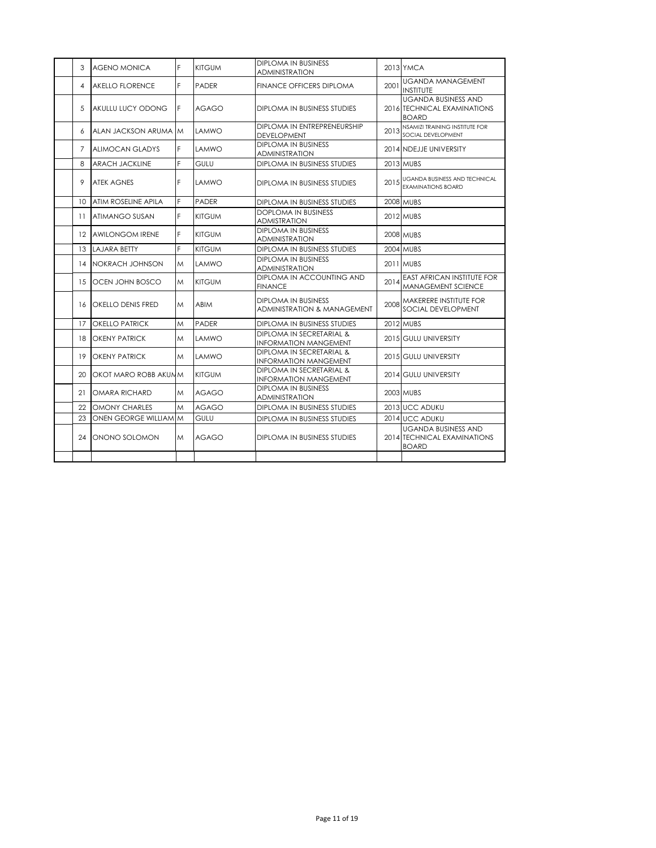| 3               | <b>AGENO MONICA</b>        | F | <b>KITGUM</b> | DIPLOMA IN BUSINESS<br>ADMINISTRATION                         |      | 2013 YMCA                                                                 |
|-----------------|----------------------------|---|---------------|---------------------------------------------------------------|------|---------------------------------------------------------------------------|
| 4               | <b>AKELLO FLORENCE</b>     | F | PADER         | <b>FINANCE OFFICERS DIPLOMA</b>                               | 2001 | <b>UGANDA MANAGEMENT</b><br><b>INSTITUTE</b>                              |
| 5               | AKULLU LUCY ODONG          | F | <b>AGAGO</b>  | DIPLOMA IN BUSINESS STUDIES                                   |      | <b>UGANDA BUSINESS AND</b><br>2016 TECHNICAL EXAMINATIONS<br><b>BOARD</b> |
| 6               | ALAN JACKSON ARUMA M       |   | <b>LAMWO</b>  | DIPLOMA IN ENTREPRENEURSHIP<br><b>DEVELOPMENT</b>             | 2013 | NSAMIZI TRAINING INSTITUTE FOR<br>SOCIAL DEVELOPMENT                      |
| 7               | <b>ALIMOCAN GLADYS</b>     | F | LAMWO         | <b>DIPLOMA IN BUSINESS</b><br><b>ADMINISTRATION</b>           |      | 2014 INDEJJE UNIVERSITY                                                   |
| 8               | <b>ARACH JACKLINE</b>      | F | GULU          | DIPLOMA IN BUSINESS STUDIES                                   |      | 2013 MUBS                                                                 |
| 9               | <b>ATEK AGNES</b>          | F | LAMWO         | DIPLOMA IN BUSINESS STUDIES                                   |      | 2015 UGANDA BUSINESS AND TECHNICAL<br>EXAMINATIONS BOARD                  |
| 10              | <b>ATIM ROSELINE APILA</b> | F | <b>PADER</b>  | DIPLOMA IN BUSINESS STUDIES                                   |      | <b>2008 MUBS</b>                                                          |
| 11              | ATIMANGO SUSAN             | F | <b>KITGUM</b> | <b>DOPLOMA IN BUSINESS</b><br><b>ADMISTRATION</b>             |      | 2012 MUBS                                                                 |
| 12 <sup>2</sup> | <b>AWILONGOM IRENE</b>     | F | <b>KITGUM</b> | <b>DIPLOMA IN BUSINESS</b><br><b>ADMINISTRATION</b>           |      | <b>2008 MUBS</b>                                                          |
| 13              | <b>LAJARA BETTY</b>        | F | <b>KITGUM</b> | DIPLOMA IN BUSINESS STUDIES                                   |      | 2004 MUBS                                                                 |
| 14              | NOKRACH JOHNSON            | M | <b>LAMWO</b>  | <b>DIPLOMA IN BUSINESS</b><br><b>ADMINISTRATION</b>           |      | 2011 MUBS                                                                 |
| 15              | OCEN JOHN BOSCO            | M | <b>KITGUM</b> | DIPLOMA IN ACCOUNTING AND<br><b>FINANCE</b>                   | 2014 | <b>EAST AFRICAN INSTITUTE FOR</b><br><b>MANAGEMENT SCIENCE</b>            |
| 16              | OKELLO DENIS FRED          | M | <b>ABIM</b>   | DIPLOMA IN BUSINESS<br><b>ADMINISTRATION &amp; MANAGEMENT</b> | 2008 | MAKERERE INSTITUTE FOR<br>SOCIAL DEVELOPMENT                              |
| 17              | <b>OKELLO PATRICK</b>      | M | <b>PADER</b>  | DIPLOMA IN BUSINESS STUDIES                                   |      | <b>2012 MUBS</b>                                                          |
| 18              | <b>OKENY PATRICK</b>       | M | LAMWO         | DIPLOMA IN SECRETARIAL &<br><b>INFORMATION MANGEMENT</b>      |      | 2015 GULU UNIVERSITY                                                      |
| 19              | <b>OKENY PATRICK</b>       | M | LAMWO         | DIPLOMA IN SECRETARIAL &<br><b>INFORMATION MANGEMENT</b>      |      | 2015 GULU UNIVERSITY                                                      |
| 20              | OKOT MARO ROBB AKUMM       |   | <b>KITGUM</b> | DIPLOMA IN SECRETARIAL &<br><b>INFORMATION MANGEMENT</b>      |      | 2014 GULU UNIVERSITY                                                      |
| 21              | <b>OMARA RICHARD</b>       | M | AGAGO         | DIPLOMA IN BUSINESS<br><b>ADMINISTRATION</b>                  |      | 2003 MUBS                                                                 |
| 22              | <b>OMONY CHARLES</b>       | M | <b>AGAGO</b>  | DIPLOMA IN BUSINESS STUDIES                                   |      | 2013 UCC ADUKU                                                            |
| 23              | ONEN GEORGE WILLIAM M      |   | GULU          | DIPLOMA IN BUSINESS STUDIES                                   |      | 2014 UCC ADUKU                                                            |
| 24              | ONONO SOLOMON              | M | <b>AGAGO</b>  | DIPLOMA IN BUSINESS STUDIES                                   |      | <b>UGANDA BUSINESS AND</b><br>2014 TECHNICAL EXAMINATIONS<br><b>BOARD</b> |
|                 |                            |   |               |                                                               |      |                                                                           |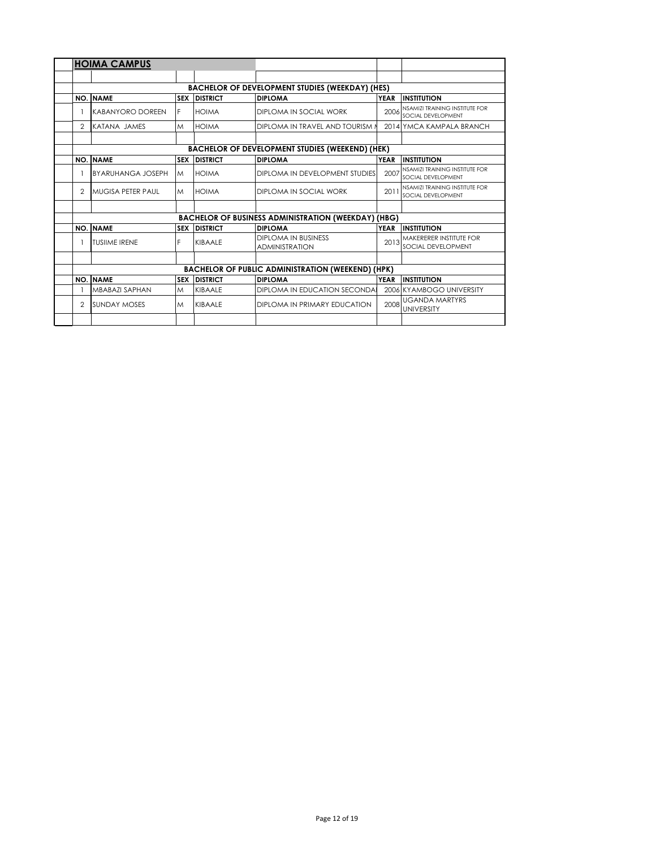|                | <b>HOIMA CAMPUS</b>                     |   |                                |                                                                       |                     |                                                                            |
|----------------|-----------------------------------------|---|--------------------------------|-----------------------------------------------------------------------|---------------------|----------------------------------------------------------------------------|
|                |                                         |   |                                |                                                                       |                     |                                                                            |
|                |                                         |   |                                | <b>BACHELOR OF DEVELOPMENT STUDIES (WEEKDAY) (HES)</b>                |                     |                                                                            |
|                | <b>NO. NAME</b>                         |   | <b>SEX DISTRICT</b>            | <b>DIPLOMA</b>                                                        | <b>YEAR</b>         | <b>INSTITUTION</b>                                                         |
|                | KABANYORO DOREEN                        | F | <b>HOIMA</b>                   | DIPLOMA IN SOCIAL WORK                                                | 2006                | NSAMIZI TRAINING INSTITUTE FOR<br>SOCIAL DEVELOPMENT                       |
| $\mathfrak{p}$ | KATANA JAMES                            | M | <b>HOIMA</b>                   | <b>DIPLOMA IN TRAVEL AND TOURISM N</b>                                |                     | 2014 YMCA KAMPALA BRANCH                                                   |
|                |                                         |   |                                | <b>BACHELOR OF DEVELOPMENT STUDIES (WEEKEND) (HEK)</b>                |                     |                                                                            |
|                | <b>NO. NAME</b>                         |   | <b>SEX DISTRICT</b>            | <b>DIPLOMA</b>                                                        | <b>YEAR</b>         | <b>INSTITUTION</b>                                                         |
|                | <b>BYARUHANGA JOSEPH</b>                | M | <b>HOIMA</b>                   | DIPLOMA IN DEVELOPMENT STUDIES                                        | 2007                | NSAMIZI TRAINING INSTITUTE FOR<br>SOCIAL DEVELOPMENT                       |
| $\mathfrak{D}$ | MUGISA PETER PAUL                       | M | <b>HOIMA</b>                   | DIPLOMA IN SOCIAL WORK                                                | 2011                | NSAMIZI TRAINING INSTITUTE FOR<br>SOCIAL DEVELOPMENT                       |
|                |                                         |   |                                |                                                                       |                     |                                                                            |
|                |                                         |   |                                | <b>BACHELOR OF BUSINESS ADMINISTRATION (WEEKDAY) (HBG)</b>            |                     |                                                                            |
|                | <b>NO. NAME</b><br><b>TUSIIME IRENE</b> | F | <b>SEX DISTRICT</b><br>KIBAALE | <b>DIPLOMA</b><br><b>DIPLOMA IN BUSINESS</b><br><b>ADMINISTRATION</b> | <b>YEAR</b><br>2013 | <b>INSTITUTION</b><br><b>MAKERERER INSTITUTE FOR</b><br>SOCIAL DEVELOPMENT |
|                |                                         |   |                                |                                                                       |                     |                                                                            |
|                |                                         |   |                                | <b>BACHELOR OF PUBLIC ADMINISTRATION (WEEKEND) (HPK)</b>              |                     |                                                                            |
|                | <b>NO. NAME</b>                         |   | <b>SEX DISTRICT</b>            | <b>DIPLOMA</b>                                                        | <b>YEAR</b>         | <b>INSTITUTION</b>                                                         |
|                | <b>MBABAZI SAPHAN</b>                   | M | KIBAALE                        | DIPLOMA IN EDUCATION SECONDA                                          |                     | 2006 KYAMBOGO UNIVERSITY                                                   |
| $\mathcal{P}$  | <b>SUNDAY MOSES</b>                     | M | KIBAALE                        | DIPLOMA IN PRIMARY EDUCATION                                          | 2008                | <b>UGANDA MARTYRS</b><br><b>UNIVERSITY</b>                                 |
|                |                                         |   |                                |                                                                       |                     |                                                                            |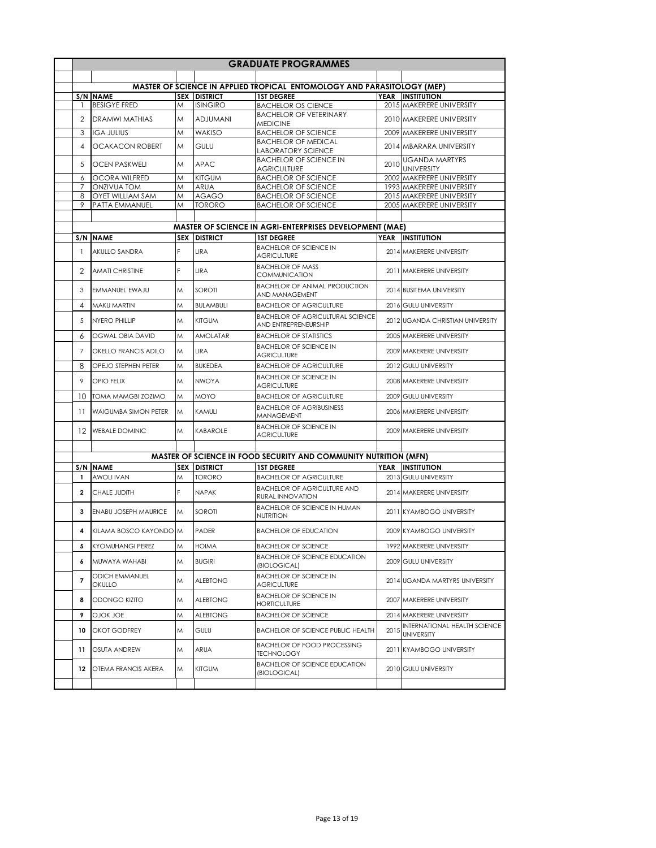|                |                                 |            |                     | <b>GRADUATE PROGRAMMES</b>                                              |      |                                                   |
|----------------|---------------------------------|------------|---------------------|-------------------------------------------------------------------------|------|---------------------------------------------------|
|                |                                 |            |                     |                                                                         |      |                                                   |
|                |                                 |            |                     | MASTER OF SCIENCE IN APPLIED TROPICAL ENTOMOLOGY AND PARASITOLOGY (MEP) |      |                                                   |
|                | S/N NAME                        |            | <b>SEX DISTRICT</b> | <b>1ST DEGREE</b>                                                       |      | YEAR INSTITUTION                                  |
|                | <b>BESIGYE FRED</b>             | M          | <b>ISINGIRO</b>     | <b>BACHELOR OS CIENCE</b>                                               |      | 2015 MAKERERE UNIVERSITY                          |
| 2              | <b>DRAMWI MATHIAS</b>           | M          | <b>ADJUMANI</b>     | <b>BACHELOR OF VETERINARY</b><br><b>MEDICINE</b>                        |      | 2010 MAKERERE UNIVERSITY                          |
| 3              | <b>IGA JULIUS</b>               | M          | <b>WAKISO</b>       | <b>BACHELOR OF SCIENCE</b>                                              |      | 2009 MAKERERE UNIVERSITY                          |
| 4              | <b>OCAKACON ROBERT</b>          | M          | <b>GULU</b>         | <b>BACHELOR OF MEDICAL</b><br><b>LABORATORY SCIENCE</b>                 |      | 2014 MBARARA UNIVERSITY                           |
| 5              | <b>OCEN PASKWELI</b>            | M          | <b>APAC</b>         | <b>BACHELOR OF SCIENCE IN</b>                                           | 2010 | <b>UGANDA MARTYRS</b>                             |
|                |                                 |            |                     | <b>AGRICULTURE</b>                                                      |      | <b>UNIVERSITY</b>                                 |
| 6              | <b>OCORA WILFRED</b>            | M          | <b>KITGUM</b>       | <b>BACHELOR OF SCIENCE</b>                                              |      | 2002 MAKERERE UNIVERSITY                          |
| 7              | <b>ONZIVUA TOM</b>              | M          | <b>ARUA</b>         | <b>BACHELOR OF SCIENCE</b>                                              |      | 1993 MAKERERE UNIVERSITY                          |
| 8              | <b>OYET WILLIAM SAM</b>         | M          | <b>AGAGO</b>        | <b>BACHELOR OF SCIENCE</b>                                              |      | 2015 MAKERERE UNIVERSITY                          |
| 9              | PATTA EMMANUEL                  | M          | <b>TORORO</b>       | <b>BACHELOR OF SCIENCE</b>                                              |      | 2005 MAKERERE UNIVERSITY                          |
|                |                                 |            |                     |                                                                         |      |                                                   |
|                |                                 |            |                     | <b>MASTER OF SCIENCE IN AGRI-ENTERPRISES DEVELOPMENT (MAE)</b>          |      |                                                   |
|                | S/N NAME                        | <b>SEX</b> | <b>DISTRICT</b>     | <b>1ST DEGREE</b>                                                       |      | YEAR INSTITUTION                                  |
| $\mathbf{1}$   | AKULLO SANDRA                   | F          | LIRA                | <b>BACHELOR OF SCIENCE IN</b><br><b>AGRICULTURE</b>                     |      | 2014 MAKERERE UNIVERSITY                          |
| 2              | <b>AMATI CHRISTINE</b>          | F          | LIRA                | <b>BACHELOR OF MASS</b><br><b>COMMUNICATION</b>                         |      | 2011 MAKERERE UNIVERSITY                          |
| 3              | EMMANUEL EWAJU                  | Μ          | SOROTI              | <b>BACHELOR OF ANIMAL PRODUCTION</b><br>AND MANAGEMENT                  |      | 2014 BUSITEMA UNIVERSITY                          |
| 4              | MAKU MARTIN                     | M          | <b>BULAMBULI</b>    | <b>BACHELOR OF AGRICULTURE</b>                                          |      | 2016 GULU UNIVERSITY                              |
|                |                                 |            |                     | <b>BACHELOR OF AGRICULTURAL SCIENCE</b>                                 |      |                                                   |
| 5              | NYFRO PHILLIP                   | M          | <b>KITGUM</b>       | AND ENTREPRENEURSHIP                                                    |      | 2012 UGANDA CHRISTIAN UNIVERSITY                  |
| 6              | <b>OGWAL OBIA DAVID</b>         | Μ          | <b>AMOLATAR</b>     | <b>BACHELOR OF STATISTICS</b>                                           |      | 2005 MAKERERE UNIVERSITY                          |
| 7              | <b>OKELLO FRANCIS ADILO</b>     | M          | <b>LIRA</b>         | <b>BACHELOR OF SCIENCE IN</b><br><b>AGRICULTURE</b>                     |      | 2009 MAKERERE UNIVERSITY                          |
| 8              | OPEJO STEPHEN PETER             | M          | <b>BUKEDEA</b>      | <b>BACHELOR OF AGRICULTURE</b>                                          |      | 2012 GULU UNIVERSITY                              |
| 9              | <b>OPIO FELIX</b>               | M          | <b>NWOYA</b>        | <b>BACHELOR OF SCIENCE IN</b><br><b>AGRICULTURE</b>                     |      | 2008 MAKERERE UNIVERSITY                          |
| 10             | <b>TOMA MAMGBI ZOZIMO</b>       | M          | <b>MOYO</b>         | <b>BACHELOR OF AGRICULTURE</b>                                          |      | 2009 GULU UNIVERSITY                              |
| 11             | <b>WAIGUMBA SIMON PETER</b>     | M          | KAMULI              | <b>BACHELOR OF AGRIBUSINESS</b><br>MANAGEMENT                           |      | 2006 MAKERERE UNIVERSITY                          |
|                | 12 WEBALE DOMINIC               | M          | KABAROLE            | <b>BACHELOR OF SCIENCE IN</b><br><b>AGRICULTURE</b>                     |      | 2009 MAKERERE UNIVERSITY                          |
|                |                                 |            |                     |                                                                         |      |                                                   |
|                |                                 |            |                     | <b>MASTER OF SCIENCE IN FOOD SECURITY AND COMMUNITY NUTRITION (MFN)</b> |      |                                                   |
|                | S/N NAME                        |            | <b>SEX DISTRICT</b> | <b>1ST DEGREE</b>                                                       |      | YEAR INSTITUTION                                  |
| $\mathbf{1}$   | <b>AWOLI IVAN</b>               | M          | <b>TORORO</b>       | <b>BACHELOR OF AGRICULTURE</b>                                          |      | 2013 GULU UNIVERSITY                              |
| $\overline{2}$ | CHALE JUDITH                    | F          | <b>NAPAK</b>        | <b>BACHELOR OF AGRICULTURE AND</b>                                      |      | 2014 MAKERERE UNIVERSITY                          |
|                |                                 |            |                     | RURAL INNOVATION<br><b>BACHELOR OF SCIENCE IN HUMAN</b>                 |      |                                                   |
| 3              | <b>ENABU JOSEPH MAURICE</b>     | M          | <b>SOROTI</b>       | NUTRITION                                                               |      | 2011 KYAMBOGO UNIVERSITY                          |
| 4              | KILAMA BOSCO KAYONDO M          |            | PADER               | <b>BACHELOR OF EDUCATION</b>                                            |      | 2009 KYAMBOGO UNIVERSITY                          |
| 5              | <b>KYOMUHANGI PEREZ</b>         | Μ          | HOIMA               | <b>BACHELOR OF SCIENCE</b>                                              |      | 1992 MAKERERE UNIVERSITY                          |
| 6              | MUWAYA WAHABI                   | Μ          | <b>BUGIRI</b>       | <b>BACHELOR OF SCIENCE EDUCATION</b><br>(BIOLOGICAL)                    |      | 2009 GULU UNIVERSITY                              |
| $\overline{7}$ | <b>ODICH EMMANUEL</b><br>OKULLO | Μ          | <b>ALEBTONG</b>     | <b>BACHELOR OF SCIENCE IN</b><br><b>AGRICULTURE</b>                     |      | 2014 UGANDA MARTYRS UNIVERSITY                    |
| 8              | ODONGO KIZITO                   | Μ          | <b>ALEBTONG</b>     | <b>BACHELOR OF SCIENCE IN</b><br>HORTICULTURE                           |      | 2007 MAKERERE UNIVERSITY                          |
| 9              | OJOK JOE                        | Μ          | <b>ALEBTONG</b>     | <b>BACHELOR OF SCIENCE</b>                                              |      | 2014 MAKERERE UNIVERSITY                          |
| 10             | OKOT GODFREY                    | Μ          | GULU                | <b>BACHELOR OF SCIENCE PUBLIC HEALTH</b>                                | 2015 | INTERNATIONAL HEALTH SCIENCE<br><b>UNIVERSITY</b> |
| 11             | OSUTA ANDREW                    | Μ          | ARUA                | <b>BACHELOR OF FOOD PROCESSING</b><br>TECHNOLOGY                        |      | 2011 KYAMBOGO UNIVERSITY                          |
| 12             | <b>OTEMA FRANCIS AKERA</b>      | M          | <b>KITGUM</b>       | <b>BACHELOR OF SCIENCE EDUCATION</b><br>(BIOLOGICAL)                    |      | 2010 GULU UNIVERSITY                              |
|                |                                 |            |                     |                                                                         |      |                                                   |
|                |                                 |            |                     |                                                                         |      |                                                   |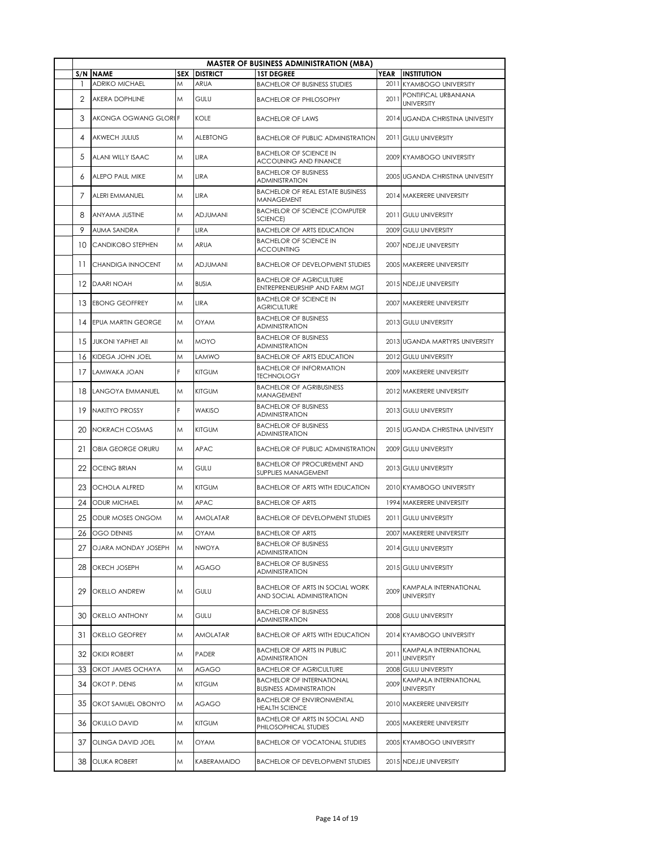|     |                           |            |                 | <b>MASTER OF BUSINESS ADMINISTRATION (MBA)</b>                      |             |                                            |
|-----|---------------------------|------------|-----------------|---------------------------------------------------------------------|-------------|--------------------------------------------|
| S/N | <b>NAME</b>               | <b>SEX</b> | <b>DISTRICT</b> | <b>1ST DEGREE</b>                                                   | <b>YEAR</b> | <b>INSTITUTION</b>                         |
| -1  | <b>ADRIKO MICHAEL</b>     | M          | ARUA            | <b>BACHELOR OF BUSINESS STUDIES</b>                                 |             | 2011 KYAMBOGO UNIVERSITY                   |
| 2   | AKERA DOPHLINE            | M          | GULU            | <b>BACHELOR OF PHILOSOPHY</b>                                       | 2011        | PONTIFICAL URBANIANA<br><b>UNIVERSITY</b>  |
| 3   | AKONGA OGWANG GLORIF      |            | KOLE            | <b>BACHELOR OF LAWS</b>                                             |             | 2014 UGANDA CHRISTINA UNIVESITY            |
| 4   | <b>AKWECH JULIUS</b>      | M          | <b>ALEBTONG</b> | <b>BACHELOR OF PUBLIC ADMINISTRATION</b>                            |             | 2011 GULU UNIVERSITY                       |
| 5   | ALANI WILLY ISAAC         | M          | LIRA            | <b>BACHELOR OF SCIENCE IN</b><br>ACCOUNING AND FINANCE              | 2009        | <b>KYAMBOGO UNIVERSITY</b>                 |
| 6   | ALEPO PAUL MIKE           | M          | LIRA            | <b>BACHELOR OF BUSINESS</b><br>ADMINISTRATION                       |             | 2005 UGANDA CHRISTINA UNIVESITY            |
| 7   | ALERI EMMANUEL            | M          | LIRA            | <b>BACHELOR OF REAL ESTATE BUSINESS</b><br>MANAGEMENT               |             | 2014 MAKERERE UNIVERSITY                   |
| 8   | <b>ANYAMA JUSTINE</b>     | M          | <b>ADJUMANI</b> | <b>BACHELOR OF SCIENCE (COMPUTER</b><br>SCIENCE)                    |             | 2011 GULU UNIVERSITY                       |
| 9   | AUMA SANDRA               |            | LIRA            | <b>BACHELOR OF ARTS EDUCATION</b>                                   | 2009        | <b>GULU UNIVERSITY</b>                     |
| 10  | <b>CANDIKOBO STEPHEN</b>  | M          | ARUA            | <b>BACHELOR OF SCIENCE IN</b><br>ACCOUNTING                         |             | 2007 NDEJJE UNIVERSITY                     |
| 11  | CHANDIGA INNOCENT         | M          | <b>ADJUMANI</b> | <b>BACHELOR OF DEVELOPMENT STUDIES</b>                              |             | 2005 MAKERERE UNIVERSITY                   |
| 12  | <b>DAARI NOAH</b>         | M          | <b>BUSIA</b>    | <b>BACHELOR OF AGRICULTURE</b><br>ENTREPRENEURSHIP AND FARM MGT     |             | 2015 NDEJJE UNIVERSITY                     |
| 13  | <b>EBONG GEOFFREY</b>     | M          | LIRA            | <b>BACHELOR OF SCIENCE IN</b><br><b>AGRICULTURE</b>                 |             | 2007 MAKERERE UNIVERSITY                   |
| 14  | <b>EPUA MARTIN GEORGE</b> | M          | <b>OYAM</b>     | <b>BACHELOR OF BUSINESS</b><br>ADMINISTRATION                       |             | 2013 GULU UNIVERSITY                       |
| 15  | <b>JUKONI YAPHET AII</b>  | M          | <b>MOYO</b>     | <b>BACHELOR OF BUSINESS</b><br>ADMINISTRATION                       |             | 2013 UGANDA MARTYRS UNIVERSITY             |
| 16  | KIDEGA JOHN JOEL          | M          | LAMWO           | <b>BACHELOR OF ARTS EDUCATION</b>                                   |             | 2012 GULU UNIVERSITY                       |
|     | 17 LAMWAKA JOAN           | F          | <b>KITGUM</b>   | <b>BACHELOR OF INFORMATION</b><br><b>TECHNOLOGY</b>                 |             | 2009 MAKERERE UNIVERSITY                   |
| 18  | LANGOYA EMMANUEL          | M          | <b>KITGUM</b>   | <b>BACHELOR OF AGRIBUSINESS</b><br>MANAGEMENT                       |             | 2012 MAKERERE UNIVERSITY                   |
|     | 19 NAKITYO PROSSY         | F          | <b>WAKISO</b>   | <b>BACHELOR OF BUSINESS</b><br>ADMINISTRATION                       |             | 2013 GULU UNIVERSITY                       |
| 20  | NOKRACH COSMAS            | M          | <b>KITGUM</b>   | <b>BACHELOR OF BUSINESS</b><br><b>ADMINISTRATION</b>                |             | 2015 UGANDA CHRISTINA UNIVESITY            |
| 21  | OBIA GEORGE ORURU         | M          | <b>APAC</b>     | <b>BACHELOR OF PUBLIC ADMINISTRATION</b>                            |             | 2009 GULU UNIVERSITY                       |
| 22  | <b>OCENG BRIAN</b>        | M          | GULU            | <b>BACHELOR OF PROCUREMENT AND</b><br>SUPPLIES MANAGEMENT           |             | 2013 GULU UNIVERSITY                       |
| 23  | <b>OCHOLA ALFRED</b>      | M          | <b>KITGUM</b>   | <b>BACHELOR OF ARTS WITH EDUCATION</b>                              |             | 2010 KYAMBOGO UNIVERSITY                   |
| 24  | <b>ODUR MICHAEL</b>       | M          | <b>APAC</b>     | <b>BACHELOR OF ARTS</b>                                             |             | 1994 MAKERERE UNIVERSITY                   |
| 25  | ODUR MOSES ONGOM          | M          | AMOLATAR        | <b>BACHELOR OF DEVELOPMENT STUDIES</b>                              |             | 2011 GULU UNIVERSITY                       |
| 26  | <b>OGO DENNIS</b>         | M          | <b>OYAM</b>     | <b>BACHELOR OF ARTS</b>                                             |             | 2007 MAKERERE UNIVERSITY                   |
| 27  | OJARA MONDAY JOSEPH       | M          | <b>NWOYA</b>    | <b>BACHELOR OF BUSINESS</b><br>ADMINISTRATION                       |             | 2014 GULU UNIVERSITY                       |
| 28  | OKECH JOSEPH              | M          | AGAGO           | <b>BACHELOR OF BUSINESS</b><br>ADMINISTRATION                       |             | 2015 GULU UNIVERSITY                       |
| 29  | <b>OKELLO ANDREW</b>      | M          | GULU            | <b>BACHELOR OF ARTS IN SOCIAL WORK</b><br>AND SOCIAL ADMINISTRATION | 2009        | KAMPALA INTERNATIONAL<br><b>UNIVERSITY</b> |
| 30  | <b>OKELLO ANTHONY</b>     | M          | GULU            | <b>BACHELOR OF BUSINESS</b><br><b>ADMINISTRATION</b>                |             | 2008 GULU UNIVERSITY                       |
| 31  | OKELLO GEOFREY            | M          | AMOLATAR        | BACHELOR OF ARTS WITH EDUCATION                                     |             | 2014 KYAMBOGO UNIVERSITY                   |
|     | 32 OKIDI ROBERT           | M          | PADER           | <b>BACHELOR OF ARTS IN PUBLIC</b><br><b>ADMINISTRATION</b>          | 2011        | KAMPALA INTERNATIONAL<br><b>UNIVERSITY</b> |
| 33  | OKOT JAMES OCHAYA         | M          | AGAGO           | <b>BACHELOR OF AGRICULTURE</b>                                      | 2008        | <b>GULU UNIVERSITY</b>                     |
| 34  | OKOT P. DENIS             | M          | <b>KITGUM</b>   | <b>BACHELOR OF INTERNATIONAL</b><br><b>BUSINESS ADMINISTRATION</b>  | 2009        | KAMPALA INTERNATIONAL<br><b>UNIVERSITY</b> |
| 35  | OKOT SAMUEL OBONYO        | M          | <b>AGAGO</b>    | <b>BACHELOR OF ENVIRONMENTAL</b><br><b>HEALTH SCIENCE</b>           |             | 2010 MAKERERE UNIVERSITY                   |
| 36  | <b>OKULLO DAVID</b>       | M          | <b>KITGUM</b>   | <b>BACHELOR OF ARTS IN SOCIAL AND</b><br>PHILOSOPHICAL STUDIES      |             | 2005 MAKERERE UNIVERSITY                   |
| 37  | OLINGA DAVID JOEL         | M          | OYAM            | <b>BACHELOR OF VOCATONAL STUDIES</b>                                |             | 2005 KYAMBOGO UNIVERSITY                   |
| 38  | OLUKA ROBERT              | M          | KABERAMAIDO     | <b>BACHELOR OF DEVELOPMENT STUDIES</b>                              |             | 2015 NDEJJE UNIVERSITY                     |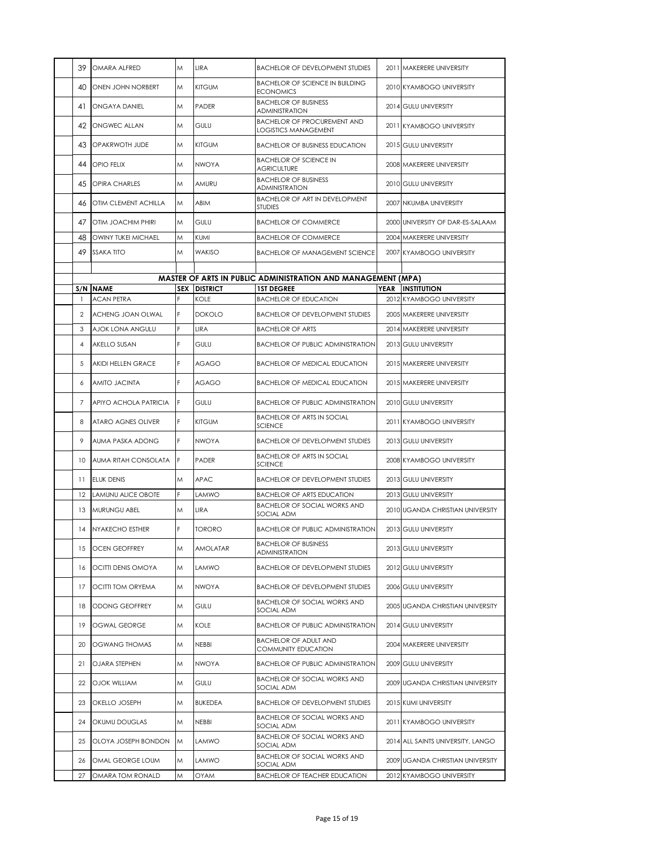| 39             | OMARA ALFRED                  | M  | LIRA                        | <b>BACHELOR OF DEVELOPMENT STUDIES</b>                                   |      | 2011 MAKERERE UNIVERSITY                       |
|----------------|-------------------------------|----|-----------------------------|--------------------------------------------------------------------------|------|------------------------------------------------|
| 40             | ONEN JOHN NORBERT             | Μ  | <b>KITGUM</b>               | <b>BACHELOR OF SCIENCE IN BUILDING</b><br><b>ECONOMICS</b>               |      | 2010 KYAMBOGO UNIVERSITY                       |
| 41             | <b>ONGAYA DANIEL</b>          | Μ  | PADER                       | <b>BACHELOR OF BUSINESS</b><br><b>ADMINISTRATION</b>                     |      | 2014 GULU UNIVERSITY                           |
| 42             | ONGWEC ALLAN                  | Μ  | GULU                        | <b>BACHELOR OF PROCUREMENT AND</b><br>LOGISTICS MANAGEMENT               |      | 2011 KYAMBOGO UNIVERSITY                       |
| 43             | OPAKRWOTH JUDE                | Μ  | <b>KITGUM</b>               | <b>BACHELOR OF BUSINESS EDUCATION</b>                                    |      | 2015 GULU UNIVERSITY                           |
| 44             | OPIO FFIIX                    | Μ  | <b>NWOYA</b>                | <b>BACHELOR OF SCIENCE IN</b><br><b>AGRICULTURE</b>                      |      | 2008 MAKERERE UNIVERSITY                       |
| 45             | <b>OPIRA CHARLES</b>          | M  | <b>AMURU</b>                | <b>BACHELOR OF BUSINESS</b><br><b>ADMINISTRATION</b>                     |      | 2010 GULU UNIVERSITY                           |
| 46             | OTIM CLEMENT ACHILLA          | Μ  | <b>ABIM</b>                 | BACHELOR OF ART IN DEVELOPMENT<br><b>STUDIES</b>                         |      | 2007 NKUMBA UNIVERSITY                         |
| 47             | OTIM JOACHIM PHIRI            | Μ  | GULU                        | <b>BACHELOR OF COMMERCE</b>                                              |      | 2000 UNIVERSITY OF DAR-ES-SALAAM               |
| 48             | OWINY TUKEI MICHAEL           | Μ  | <b>KUMI</b>                 | <b>BACHELOR OF COMMERCE</b>                                              |      | 2004 MAKERERE UNIVERSITY                       |
| 49             | SSAKA TITO                    | M  | WAKISO                      | <b>BACHELOR OF MANAGEMENT SCIENCE</b>                                    |      | 2007 KYAMBOGO UNIVERSITY                       |
|                |                               |    |                             |                                                                          |      |                                                |
|                |                               |    |                             | <b>MASTER OF ARTS IN PUBLIC ADMINISTRATION AND MANAGEMENT (MPA)</b>      |      |                                                |
| -1             | S/N NAME<br><b>ACAN PETRA</b> | F  | <b>SEX DISTRICT</b><br>KOLF | <b>1ST DEGREE</b><br><b>BACHELOR OF EDUCATION</b>                        | YEAR | <b>INSTITUTION</b><br>2012 KYAMBOGO UNIVERSITY |
| $\overline{2}$ | ACHENG JOAN OLWAL             | F. | <b>DOKOLO</b>               | <b>BACHELOR OF DEVELOPMENT STUDIES</b>                                   |      | 2005 MAKERERE UNIVERSITY                       |
| 3              | AJOK LONA ANGULU              | F  | LIRA                        | <b>BACHELOR OF ARTS</b>                                                  |      | 2014 MAKERERE UNIVERSITY                       |
| 4              | <b>AKELLO SUSAN</b>           | F. | GULU                        | <b>BACHELOR OF PUBLIC ADMINISTRATION</b>                                 |      | 2013 GULU UNIVERSITY                           |
| 5              | AKIDI HELLEN GRACE            | F. | <b>AGAGO</b>                | <b>BACHELOR OF MEDICAL EDUCATION</b>                                     |      | 2015 MAKERERE UNIVERSITY                       |
| 6              | AMITO JACINTA                 | F. | AGAGO                       | <b>BACHELOR OF MEDICAL EDUCATION</b>                                     |      | 2015 MAKERERE UNIVERSITY                       |
| $\overline{7}$ | APIYO ACHOLA PATRICIA         | F  | GULU                        | <b>BACHELOR OF PUBLIC ADMINISTRATION</b>                                 |      | 2010 GULU UNIVERSITY                           |
| 8              | ATARO AGNES OLIVER            | F. | <b>KITGUM</b>               | <b>BACHELOR OF ARTS IN SOCIAL</b>                                        |      | 2011 KYAMBOGO UNIVERSITY                       |
| 9              | AUMA PASKA ADONG              | F. | <b>NWOYA</b>                | <b>SCIENCE</b><br><b>BACHELOR OF DEVELOPMENT STUDIES</b>                 |      | 2013 GULU UNIVERSITY                           |
| 10             | AUMA RITAH CONSOLATA          | F  | PADER                       | <b>BACHELOR OF ARTS IN SOCIAL</b>                                        |      | 2008 KYAMBOGO UNIVERSITY                       |
| 11             | <b>ELUK DENIS</b>             | Μ  | <b>APAC</b>                 | <b>SCIENCE</b><br><b>BACHELOR OF DEVELOPMENT STUDIES</b>                 |      | 2013 GULU UNIVERSITY                           |
| 12             |                               | F  |                             |                                                                          |      |                                                |
|                | <b>LAMUNU ALICE OBOTE</b>     |    | LAMWO                       | <b>BACHELOR OF ARTS EDUCATION</b><br><b>BACHELOR OF SOCIAL WORKS AND</b> |      | 2013 GULU UNIVERSITY                           |
| 13             | <b>MURUNGU ABEL</b>           | M  | LIRA                        | <b>SOCIAL ADM</b>                                                        |      | 2010 UGANDA CHRISTIAN UNIVERSITY               |
| 14             | NYAKECHO ESTHER               | F. | <b>TORORO</b>               | <b>BACHELOR OF PUBLIC ADMINISTRATION</b>                                 |      | 2013 GULU UNIVERSITY                           |
| 15             | OCEN GEOFFREY                 | M  | AMOLATAR                    | <b>BACHELOR OF BUSINESS</b><br><b>ADMINISTRATION</b>                     |      | 2013 GULU UNIVERSITY                           |
| 16             | OCITTI DENIS OMOYA            | M  | LAMWO                       | <b>BACHELOR OF DEVELOPMENT STUDIES</b>                                   |      | 2012 GULU UNIVERSITY                           |
| 17             | OCITTI TOM ORYEMA             | M  | <b>NWOYA</b>                | <b>BACHELOR OF DEVELOPMENT STUDIES</b>                                   |      | 2006 GULU UNIVERSITY                           |
| 18             | ODONG GEOFFREY                | M  | <b>GULU</b>                 | <b>BACHELOR OF SOCIAL WORKS AND</b><br>SOCIAL ADM                        |      | 2005 UGANDA CHRISTIAN UNIVERSITY               |
| 19             | OGWAL GEORGE                  | M  | KOLE                        | <b>BACHELOR OF PUBLIC ADMINISTRATION</b>                                 |      | 2014 GULU UNIVERSITY                           |
| 20             | OGWANG THOMAS                 | M  | <b>NEBBI</b>                | <b>BACHELOR OF ADULT AND</b><br>COMMUNITY EDUCATION                      |      | 2004 MAKERERE UNIVERSITY                       |
| 21             | OJARA STEPHEN                 | M  | <b>NWOYA</b>                | <b>BACHELOR OF PUBLIC ADMINISTRATION</b>                                 |      | 2009 GULU UNIVERSITY                           |
| 22             | OJOK WILLIAM                  | M  | <b>GULU</b>                 | <b>BACHELOR OF SOCIAL WORKS AND</b><br>SOCIAL ADM                        |      | 2009 UGANDA CHRISTIAN UNIVERSITY               |
| 23             | OKELLO JOSEPH                 | M  | <b>BUKEDEA</b>              | <b>BACHELOR OF DEVELOPMENT STUDIES</b>                                   |      | 2015 KUMI UNIVERSITY                           |
| 24             | OKUMU DOUGLAS                 | M  | <b>NEBBI</b>                | <b>BACHELOR OF SOCIAL WORKS AND</b><br>SOCIAL ADM                        |      | 2011 KYAMBOGO UNIVERSITY                       |
| 25             | OLOYA JOSEPH BONDON           | M  | <b>LAMWO</b>                | <b>BACHELOR OF SOCIAL WORKS AND</b><br>SOCIAL ADM                        |      | 2014 ALL SAINTS UNIVERSITY, LANGO              |
| 26             | OMAL GEORGE LOUM              | M  | LAMWO                       | <b>BACHELOR OF SOCIAL WORKS AND</b><br>SOCIAL ADM                        |      | 2009 UGANDA CHRISTIAN UNIVERSITY               |
| 27             | OMARA TOM RONALD              | M  | OYAM                        | BACHELOR OF TEACHER EDUCATION                                            |      | 2012 KYAMBOGO UNIVERSITY                       |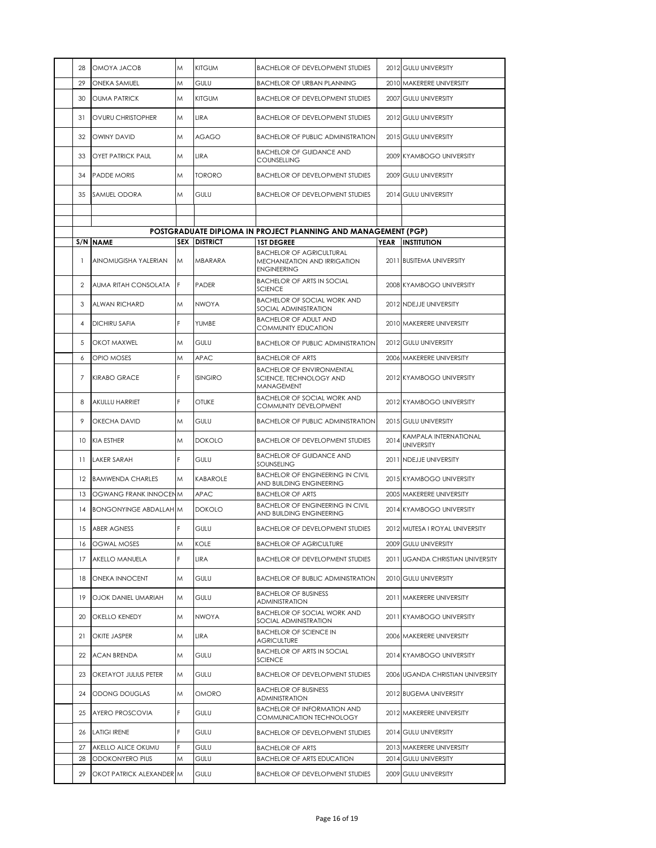| 28             | OMOYA JACOB                   | Μ | <b>KITGUM</b>       | <b>BACHELOR OF DEVELOPMENT STUDIES</b>                                                |             | 2012 GULU UNIVERSITY                       |
|----------------|-------------------------------|---|---------------------|---------------------------------------------------------------------------------------|-------------|--------------------------------------------|
| 29             | ONEKA SAMUEL                  | M | GULU                | <b>BACHELOR OF URBAN PLANNING</b>                                                     |             | 2010 MAKERERE UNIVERSITY                   |
| 30             | <b>OUMA PATRICK</b>           | M | <b>KITGUM</b>       | <b>BACHELOR OF DEVELOPMENT STUDIES</b>                                                |             | 2007 GULU UNIVERSITY                       |
| 31             | <b>OVURU CHRISTOPHER</b>      | M | LIRA                | <b>BACHELOR OF DEVELOPMENT STUDIES</b>                                                |             | 2012 GULU UNIVERSITY                       |
| 32             | <b>OWINY DAVID</b>            | M | <b>AGAGO</b>        | <b>BACHELOR OF PUBLIC ADMINISTRATION</b>                                              |             | 2015 GULU UNIVERSITY                       |
| 33             | <b>OYET PATRICK PAUL</b>      | Μ | LIRA                | <b>BACHELOR OF GUIDANCE AND</b><br>COUNSELLING                                        |             | 2009 KYAMBOGO UNIVERSITY                   |
| 34             | <b>PADDE MORIS</b>            | M | <b>TORORO</b>       | <b>BACHELOR OF DEVELOPMENT STUDIES</b>                                                |             | 2009 GULU UNIVERSITY                       |
| 35             | SAMUEL ODORA                  | M | GULU                | <b>BACHELOR OF DEVELOPMENT STUDIES</b>                                                |             | 2014 GULU UNIVERSITY                       |
|                |                               |   |                     |                                                                                       |             |                                            |
|                |                               |   |                     | POSTGRADUATE DIPLOMA IN PROJECT PLANNING AND MANAGEMENT (PGP)                         |             |                                            |
|                | S/N NAME                      |   | <b>SEX DISTRICT</b> | <b>1ST DEGREE</b>                                                                     | <b>YEAR</b> | <b>INSTITUTION</b>                         |
| 1              | AINOMUGISHA YALERIAN          | M | MBARARA             | <b>BACHELOR OF AGRICULTURAL</b><br>MECHANIZATION AND IRRIGATION<br><b>ENGINEERING</b> |             | 2011 BUSITEMA UNIVERSITY                   |
| 2              | AUMA RITAH CONSOLATA          | F | PADER               | <b>BACHELOR OF ARTS IN SOCIAL</b><br><b>SCIENCE</b>                                   |             | 2008 KYAMBOGO UNIVERSITY                   |
| 3              | ALWAN RICHARD                 | Μ | <b>NWOYA</b>        | <b>BACHELOR OF SOCIAL WORK AND</b><br>SOCIAL ADMINISTRATION                           |             | 2012 NDEJJE UNIVERSITY                     |
| $\overline{4}$ | <b>DICHIRU SAFIA</b>          | F | YUMBE               | <b>BACHELOR OF ADULT AND</b><br>COMMUNITY EDUCATION                                   |             | 2010 MAKERERE UNIVERSITY                   |
| 5              | OKOT MAXWEL                   | Μ | GULU                | <b>BACHELOR OF PUBLIC ADMINISTRATION</b>                                              |             | 2012 GULU UNIVERSITY                       |
| 6              | <b>OPIO MOSES</b>             | M | APAC                | <b>BACHELOR OF ARTS</b>                                                               |             | 2006 MAKERERE UNIVERSITY                   |
| 7              | <b>KIRABO GRACE</b>           | F | <b>ISINGIRO</b>     | <b>BACHELOR OF ENVIRONMENTAL</b><br>SCIENCE, TECHNOLOGY AND<br>MANAGEMENT             |             | 2012 KYAMBOGO UNIVERSITY                   |
| 8              | AKULLU HARRIET                | F | <b>OTUKE</b>        | <b>BACHELOR OF SOCIAL WORK AND</b><br>COMMUNITY DEVELOPMENT                           |             | 2012 KYAMBOGO UNIVERSITY                   |
| 9              | OKECHA DAVID                  | M | GULU                | <b>BACHELOR OF PUBLIC ADMINISTRATION</b>                                              |             | 2015 GULU UNIVERSITY                       |
| 10             | <b>KIA ESTHER</b>             | M | <b>DOKOLO</b>       | <b>BACHELOR OF DEVELOPMENT STUDIES</b>                                                | 2014        | KAMPALA INTERNATIONAL<br><b>UNIVERSITY</b> |
| 11             | <b>LAKER SARAH</b>            | F | GULU                | <b>BACHELOR OF GUIDANCE AND</b><br>SOUNSELING                                         |             | 2011 NDEJJE UNIVERSITY                     |
|                | 12 BAMWENDA CHARLES           | M | KABAROLE            | <b>BACHELOR OF ENGINEERING IN CIVIL</b><br>AND BUILDING ENGINEERING                   |             | 2015 KYAMBOGO UNIVERSITY                   |
| 13             | OGWANG FRANK INNOCEN M        |   | <b>APAC</b>         | <b>BACHELOR OF ARTS</b>                                                               |             | 2005 MAKERERE UNIVERSITY                   |
| 14             | <b>BONGONYINGE ABDALLAH M</b> |   | <b>DOKOLO</b>       | <b>BACHELOR OF ENGINEERING IN CIVIL</b><br>AND BUILDING ENGINEERING                   |             | 2014 KYAMBOGO UNIVERSITY                   |
| 15             | <b>ABER AGNESS</b>            |   | GULU                | <b>BACHELOR OF DEVELOPMENT STUDIES</b>                                                |             | 2012 MUTESA I ROYAL UNIVERSITY             |
| 16             | <b>OGWAL MOSES</b>            | M | KOLE                | <b>BACHELOR OF AGRICULTURE</b>                                                        | 2009        | <b>GULU UNIVERSITY</b>                     |
| 17             | AKELLO MANUELA                | F | LIRA                | <b>BACHELOR OF DEVELOPMENT STUDIES</b>                                                |             | 2011 UGANDA CHRISTIAN UNIVERSITY           |
| 18             | ONEKA INNOCENT                | Μ | GULU                | <b>BACHELOR OF BUBLIC ADMINISTRATION</b>                                              |             | 2010 GULU UNIVERSITY                       |
| 19             | OJOK DANIEL UMARIAH           | Μ | GULU                | <b>BACHELOR OF BUSINESS</b><br>ADMINISTRATION<br><b>BACHELOR OF SOCIAL WORK AND</b>   |             | 2011 MAKERERE UNIVERSITY                   |
| 20             | OKELLO KENEDY                 | Μ | NWOYA               | SOCIAL ADMINISTRATION                                                                 |             | 2011 KYAMBOGO UNIVERSITY                   |
| 21             | <b>OKITE JASPER</b>           | Μ | LIRA                | <b>BACHELOR OF SCIENCE IN</b><br>AGRICULTURE                                          |             | 2006 MAKERERE UNIVERSITY                   |
| 22             | <b>ACAN BRENDA</b>            | Μ | GULU                | <b>BACHELOR OF ARTS IN SOCIAL</b><br><b>SCIENCE</b>                                   |             | 2014 KYAMBOGO UNIVERSITY                   |
| 23             | OKETAYOT JULIUS PETER         | Μ | GULU                | <b>BACHELOR OF DEVELOPMENT STUDIES</b>                                                |             | 2006 UGANDA CHRISTIAN UNIVERSITY           |
| 24             | ODONG DOUGLAS                 | Μ | OMORO               | <b>BACHELOR OF BUSINESS</b><br>ADMINISTRATION                                         |             | 2012 BUGEMA UNIVERSITY                     |
| 25             | AYERO PROSCOVIA               | F | GULU                | <b>BACHELOR OF INFORMATION AND</b><br>COMMUNICATION TECHNOLOGY                        |             | 2012 MAKERERE UNIVERSITY                   |
| 26             | <b>LATIGI IRENE</b>           | F | GULU                | <b>BACHELOR OF DEVELOPMENT STUDIES</b>                                                |             | 2014 GULU UNIVERSITY                       |
| 27             | AKELLO ALICE OKUMU            |   | GULU                | <b>BACHELOR OF ARTS</b>                                                               |             | 2013 MAKERERE UNIVERSITY                   |
| 28             | ODOKONYERO PIUS               | Μ | GULU                | <b>BACHELOR OF ARTS EDUCATION</b>                                                     |             | 2014 GULU UNIVERSITY                       |
| 29             | OKOT PATRICK ALEXANDER M      |   | GULU                | <b>BACHELOR OF DEVELOPMENT STUDIES</b>                                                |             | 2009 GULU UNIVERSITY                       |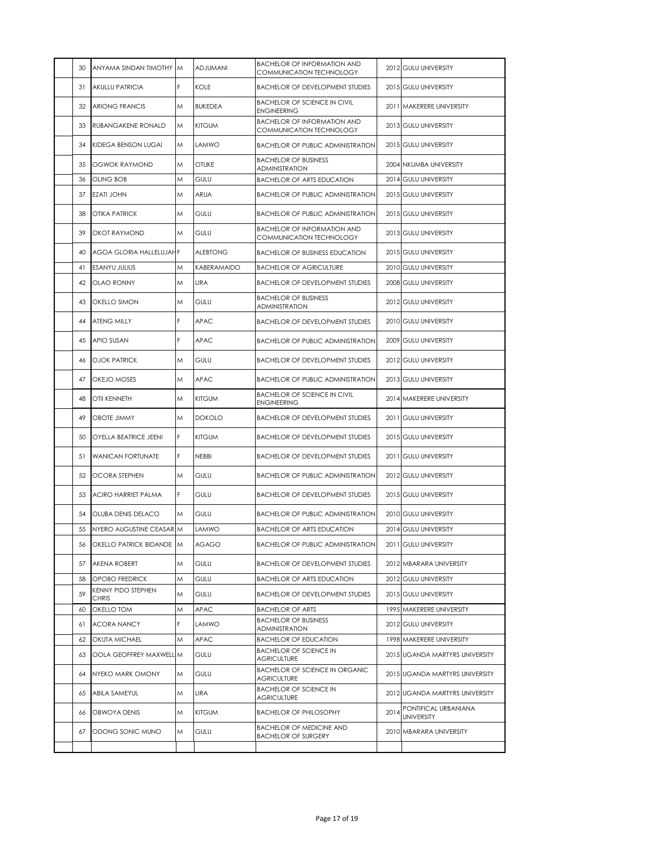| 30 | ANYAMA SINDAN TIMOTHY M            |    | ADJUMANI        | <b>BACHELOR OF INFORMATION AND</b><br>COMMUNICATION TECHNOLOGY |      | 2012 GULU UNIVERSITY                      |
|----|------------------------------------|----|-----------------|----------------------------------------------------------------|------|-------------------------------------------|
| 31 | <b>AKULLU PATRICIA</b>             | F. | KOLE            | <b>BACHELOR OF DEVELOPMENT STUDIES</b>                         |      | 2015 GULU UNIVERSITY                      |
| 32 | <b>ARIONG FRANCIS</b>              | M  | <b>BUKEDEA</b>  | <b>BACHELOR OF SCIENCE IN CIVIL</b><br><b>ENGINEERING</b>      |      | 2011 MAKERERE UNIVERSITY                  |
| 33 | RUBANGAKENE RONALD                 | M  | <b>KITGUM</b>   | <b>BACHELOR OF INFORMATION AND</b><br>COMMUNICATION TECHNOLOGY |      | 2013 GULU UNIVERSITY                      |
| 34 | KIDEGA BENSON LUGAI                | Μ  | LAMWO           | <b>BACHELOR OF PUBLIC ADMINISTRATION</b>                       |      | 2015 GULU UNIVERSITY                      |
| 35 | <b>OGWOK RAYMOND</b>               | M  | <b>OTUKE</b>    | <b>BACHELOR OF BUSINESS</b><br><b>ADMINISTRATION</b>           |      | 2004 NKUMBA UNIVERSITY                    |
| 36 | OLING BOB                          | Μ  | GULU            | <b>BACHELOR OF ARTS EDUCATION</b>                              |      | 2014 GULU UNIVERSITY                      |
| 37 | <b>EZATI JOHN</b>                  | M  | ARUA            | <b>BACHELOR OF PUBLIC ADMINISTRATION</b>                       |      | 2015 GULU UNIVERSITY                      |
| 38 | OTIKA PATRICK                      | M  | GULU            | <b>BACHELOR OF PUBLIC ADMINISTRATION</b>                       |      | 2015 GULU UNIVERSITY                      |
| 39 | OKOT RAYMOND                       | M  | GULU            | <b>BACHELOR OF INFORMATION AND</b><br>COMMUNICATION TECHNOLOGY |      | 2013 GULU UNIVERSITY                      |
| 40 | AGOA GLORIA HALLELUJAHF            |    | <b>ALEBTONG</b> | <b>BACHELOR OF BUSINESS EDUCATION</b>                          |      | 2015 GULU UNIVERSITY                      |
| 41 | <b>ESANYU JULIUS</b>               | Μ  | KABERAMAIDO     | <b>BACHELOR OF AGRICULTURE</b>                                 |      | 2010 GULU UNIVERSITY                      |
| 42 | <b>OLAO RONNY</b>                  | M  | LIRA            | <b>BACHELOR OF DEVELOPMENT STUDIES</b>                         |      | 2008 GULU UNIVERSITY                      |
| 43 | OKELLO SIMON                       | M  | GULU            | <b>BACHELOR OF BUSINESS</b><br><b>ADMINISTRATION</b>           |      | 2012 GULU UNIVERSITY                      |
| 44 | ATENG MILLY                        | F. | APAC            | <b>BACHELOR OF DEVELOPMENT STUDIES</b>                         |      | 2010 GULU UNIVERSITY                      |
| 45 | APIO SUSAN                         | F. | APAC            | <b>BACHELOR OF PUBLIC ADMINISTRATION</b>                       |      | 2009 GULU UNIVERSITY                      |
| 46 | OJOK PATRICK                       | M  | GULU            | <b>BACHELOR OF DEVELOPMENT STUDIES</b>                         |      | 2012 GULU UNIVERSITY                      |
| 47 | OKEJO MOSES                        | M  | APAC            | <b>BACHELOR OF PUBLIC ADMINISTRATION</b>                       |      | 2013 GULU UNIVERSITY                      |
| 48 | OTII KENNETH                       | M  | <b>KITGUM</b>   | <b>BACHELOR OF SCIENCE IN CIVIL</b><br><b>ENGINEERING</b>      |      | 2014 MAKERERE UNIVERSITY                  |
| 49 | <b>OBOTE JIMMY</b>                 | M  | <b>DOKOLO</b>   | <b>BACHELOR OF DEVELOPMENT STUDIES</b>                         |      | 2011 GULU UNIVERSITY                      |
| 50 | <b>OYELLA BEATRICE JEENI</b>       | F. | <b>KITGUM</b>   | <b>BACHELOR OF DEVELOPMENT STUDIES</b>                         |      | 2015 GULU UNIVERSITY                      |
| 51 | <b>WANICAN FORTUNATE</b>           | F. | <b>NEBBI</b>    | <b>BACHELOR OF DEVELOPMENT STUDIES</b>                         |      | 2011 GULU UNIVERSITY                      |
| 52 | <b>OCORA STEPHEN</b>               | M  | GULU            | <b>BACHELOR OF PUBLIC ADMINISTRATION</b>                       |      | 2012 GULU UNIVERSITY                      |
| 53 | ACIRO HARRIET PALMA                | F. | GULU            | <b>BACHELOR OF DEVELOPMENT STUDIES</b>                         |      | 2015 GULU UNIVERSITY                      |
| 54 | OLUBA DENIS DELACO                 | M  | GULU            | <b>BACHELOR OF PUBLIC ADMINISTRATION</b>                       |      | 2010 GULU UNIVERSITY                      |
| 55 | NYERO AUGUSTINE CEASAR M           |    | LAMWO           | <b>BACHELOR OF ARTS EDUCATION</b>                              |      | 2014 GULU UNIVERSITY                      |
| 56 | OKELLO PATRICK BIDANDE M           |    | <b>AGAGO</b>    | <b>BACHELOR OF PUBLIC ADMINISTRATION</b>                       |      | 2011 GULU UNIVERSITY                      |
| 57 | <b>AKENA ROBERT</b>                | M  | GULU            | <b>BACHELOR OF DEVELOPMENT STUDIES</b>                         |      | 2012 MBARARA UNIVERSITY                   |
| 58 | OPOBO FREDRICK                     | Μ  | GULU            | <b>BACHELOR OF ARTS EDUCATION</b>                              |      | 2012 GULU UNIVERSITY                      |
| 59 | KENNY PIDO STEPHEN<br><b>CHRIS</b> | M  | GULU            | <b>BACHELOR OF DEVELOPMENT STUDIES</b>                         |      | 2015 GULU UNIVERSITY                      |
| 60 | OKELLO TOM                         | Μ  | APAC            | <b>BACHELOR OF ARTS</b>                                        |      | 1995 MAKERERE UNIVERSITY                  |
| 61 | <b>ACORA NANCY</b>                 | F. | LAMWO           | <b>BACHELOR OF BUSINESS</b><br>ADMINISTRATION                  |      | 2012 GULU UNIVERSITY                      |
| 62 | OKUTA MICHAEL                      | M  | APAC            | <b>BACHELOR OF EDUCATION</b>                                   |      | 1998 MAKERERE UNIVERSITY                  |
| 63 | OOLA GEOFFREY MAXWELL M            |    | GULU            | <b>BACHELOR OF SCIENCE IN</b><br><b>AGRICULTURE</b>            |      | 2015 UGANDA MARTYRS UNIVERSITY            |
| 64 | NYEKO MARK OMONY                   | M  | GULU            | <b>BACHELOR OF SCIENCE IN ORGANIC</b><br><b>AGRICULTURE</b>    |      | 2015 UGANDA MARTYRS UNIVERSITY            |
| 65 | ABILA SAMEYUL                      | M  | LIRA            | <b>BACHELOR OF SCIENCE IN</b><br><b>AGRICULTURE</b>            |      | 2012 UGANDA MARTYRS UNIVERSITY            |
| 66 | OBWOYA DENIS                       | M  | KITGUM          | <b>BACHELOR OF PHILOSOPHY</b>                                  | 2014 | PONTIFICAL URBANIANA<br><b>UNIVERSITY</b> |
| 67 | ODONG SONIC MUNO                   | M  | GULU            | BACHELOR OF MEDICINE AND<br><b>BACHELOR OF SURGERY</b>         |      | 2010 MBARARA UNIVERSITY                   |
|    |                                    |    |                 |                                                                |      |                                           |
|    |                                    |    |                 |                                                                |      |                                           |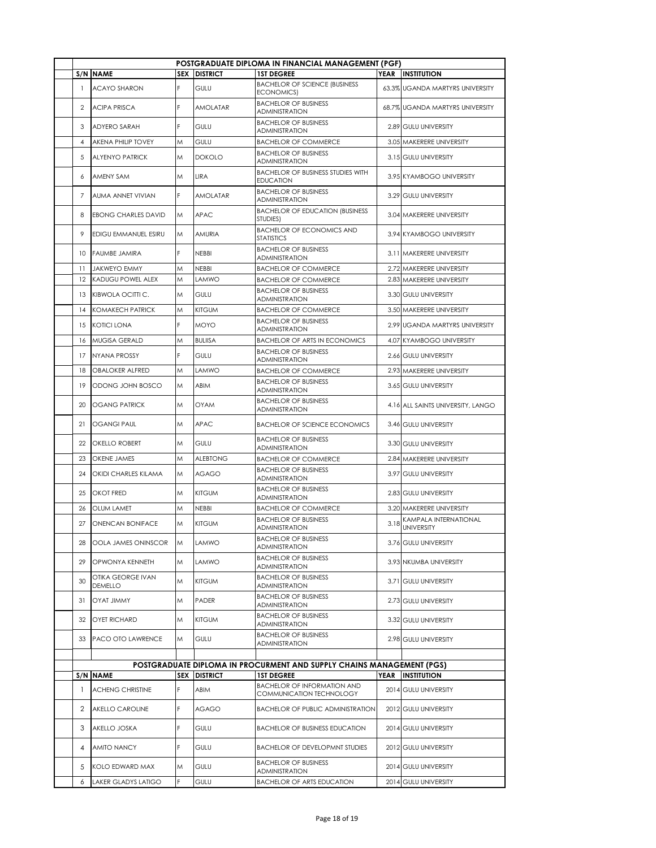|                |                              |   |                     | POSTGRADUATE DIPLOMA IN FINANCIAL MANAGEMENT (PGF)                    |             |                                            |
|----------------|------------------------------|---|---------------------|-----------------------------------------------------------------------|-------------|--------------------------------------------|
|                | <b>S/N NAME</b>              |   | <b>SEX DISTRICT</b> | <b>1ST DEGREE</b>                                                     |             | YEAR INSTITUTION                           |
|                | <b>ACAYO SHARON</b>          | F | GULU                | <b>BACHELOR OF SCIENCE (BUSINESS</b><br>ECONOMICS)                    |             | 63.3% UGANDA MARTYRS UNIVERSITY            |
| 2              | <b>ACIPA PRISCA</b>          | F | AMOLATAR            | <b>BACHELOR OF BUSINESS</b><br><b>ADMINISTRATION</b>                  |             | 68.7% UGANDA MARTYRS UNIVERSITY            |
| 3              | <b>ADYERO SARAH</b>          | F | GULU                | <b>BACHELOR OF BUSINESS</b><br><b>ADMINISTRATION</b>                  |             | 2.89 GULU UNIVERSITY                       |
| $\overline{4}$ | <b>AKENA PHILIP TOVEY</b>    | M | GULU                | <b>BACHELOR OF COMMERCE</b>                                           |             | 3.05 MAKERERE UNIVERSITY                   |
| 5              | <b>ALYENYO PATRICK</b>       | M | <b>DOKOLO</b>       | <b>BACHELOR OF BUSINESS</b><br>ADMINISTRATION                         |             | 3.15 GULU UNIVERSITY                       |
| 6              | AMENY SAM                    | M | LIRA                | <b>BACHELOR OF BUSINESS STUDIES WITH</b><br><b>EDUCATION</b>          |             | 3.95 KYAMBOGO UNIVERSITY                   |
| 7              | AUMA ANNET VIVIAN            | F | AMOLATAR            | <b>BACHELOR OF BUSINESS</b><br>ADMINISTRATION                         |             | 3.29 GULU UNIVERSITY                       |
| 8              | <b>EBONG CHARLES DAVID</b>   | M | APAC                | <b>BACHELOR OF EDUCATION (BUSINESS)</b><br>STUDIES)                   |             | 3.04 MAKERERE UNIVERSITY                   |
| 9              | EDIGU EMMANUEL ESIRU         | M | AMURIA              | <b>BACHELOR OF ECONOMICS AND</b><br><b>STATISTICS</b>                 |             | 3.94 KYAMBOGO UNIVERSITY                   |
| 10             | <b>FAUMBE JAMIRA</b>         | F | <b>NEBBI</b>        | <b>BACHELOR OF BUSINESS</b><br>ADMINISTRATION                         |             | 3.11 MAKERERE UNIVERSITY                   |
| 11             | <b>JAKWEYO EMMY</b>          | Μ | <b>NEBBI</b>        | <b>BACHELOR OF COMMERCE</b>                                           |             | 2.72 MAKERERE UNIVERSITY                   |
| 12             | KADUGU POWEL ALEX            | M | LAMWO               | <b>BACHELOR OF COMMERCE</b>                                           |             | 2.83 MAKERERE UNIVERSITY                   |
| 13             | KIBWOLA OCITTI C.            | M | GULU                | <b>BACHELOR OF BUSINESS</b><br><b>ADMINISTRATION</b>                  |             | 3.30 GULU UNIVERSITY                       |
| 14             | <b>KOMAKECH PATRICK</b>      | M | <b>KITGUM</b>       | <b>BACHELOR OF COMMERCE</b>                                           |             | 3.50 MAKERERE UNIVERSITY                   |
| 15             | <b>KOTICI LONA</b>           | F | <b>MOYO</b>         | <b>BACHELOR OF BUSINESS</b><br><b>ADMINISTRATION</b>                  |             | 2.99 UGANDA MARTYRS UNIVERSITY             |
| 16             | MUGISA GERALD                | M | <b>BULIISA</b>      | <b>BACHELOR OF ARTS IN ECONOMICS</b>                                  |             | 4.07 KYAMBOGO UNIVERSITY                   |
| 17             | <b>NYANA PROSSY</b>          | F | <b>GULU</b>         | <b>BACHELOR OF BUSINESS</b><br><b>ADMINISTRATION</b>                  |             | 2.66 GULU UNIVERSITY                       |
| 18             | <b>OBALOKER ALFRED</b>       | M | LAMWO               | <b>BACHELOR OF COMMERCE</b>                                           |             | 2.93 MAKERERE UNIVERSITY                   |
| 19             | ODONG JOHN BOSCO             | M | ABIM                | <b>BACHELOR OF BUSINESS</b><br>ADMINISTRATION                         |             | 3.65 GULU UNIVERSITY                       |
| 20             | <b>OGANG PATRICK</b>         | M | OYAM                | <b>BACHELOR OF BUSINESS</b><br><b>ADMINISTRATION</b>                  |             | 4.16 ALL SAINTS UNIVERSITY, LANGO          |
| 21             | <b>OGANGI PAUL</b>           | M | <b>APAC</b>         | <b>BACHELOR OF SCIENCE ECONOMICS</b>                                  |             | 3.46 GULU UNIVERSITY                       |
| 22             | <b>OKELLO ROBERT</b>         | M | GULU                | <b>BACHELOR OF BUSINESS</b><br><b>ADMINISTRATION</b>                  |             | 3.30 GULU UNIVERSITY                       |
| 23             | <b>OKENE JAMES</b>           | M | <b>ALEBTONG</b>     | <b>BACHELOR OF COMMERCE</b>                                           |             | 2.84 MAKERERE UNIVERSITY                   |
| 24             | <b>OKIDI CHARLES KILAMA</b>  | M | <b>AGAGO</b>        | <b>BACHELOR OF BUSINESS</b><br>ADMINISTRATION                         |             | 3.97 GULU UNIVERSITY                       |
| 25             | <b>OKOT FRED</b>             | M | <b>KITGUM</b>       | <b>BACHELOR OF BUSINESS</b><br><b>ADMINISTRATION</b>                  |             | 2.83 GULU UNIVERSITY                       |
| 26             | <b>OLUM LAMET</b>            | Μ | <b>NEBBI</b>        | <b>BACHELOR OF COMMERCE</b>                                           |             | 3.20 MAKERERE UNIVERSITY                   |
| 27             | ONENCAN BONIFACE             | M | <b>KITGUM</b>       | <b>BACHELOR OF BUSINESS</b><br>ADMINISTRATION                         | 3.18        | KAMPALA INTERNATIONAL<br><b>UNIVERSITY</b> |
| 28             | OOLA JAMES ONINSCOR          | M | LAMWO               | <b>BACHELOR OF BUSINESS</b><br><b>ADMINISTRATION</b>                  |             | 3.76 GULU UNIVERSITY                       |
| 29             | OPWONYA KENNETH              | M | LAMWO               | <b>BACHELOR OF BUSINESS</b><br>ADMINISTRATION                         |             | 3.93 NKUMBA UNIVERSITY                     |
| 30             | OTIKA GEORGE IVAN<br>DEMELLO | M | <b>KITGUM</b>       | <b>BACHELOR OF BUSINESS</b><br>ADMINISTRATION                         |             | 3.71 GULU UNIVERSITY                       |
| 31             | <b><i>OYAT JIMMY</i></b>     | M | PADER               | <b>BACHELOR OF BUSINESS</b><br>ADMINISTRATION                         |             | 2.73 GULU UNIVERSITY                       |
| 32             | <b>OYET RICHARD</b>          | M | <b>KITGUM</b>       | <b>BACHELOR OF BUSINESS</b><br>ADMINISTRATION                         |             | 3.32 GULU UNIVERSITY                       |
| 33             | PACO OTO LAWRENCE            | M | <b>GULU</b>         | <b>BACHELOR OF BUSINESS</b><br>ADMINISTRATION                         |             | 2.98 GULU UNIVERSITY                       |
|                |                              |   |                     | POSTGRADUATE DIPLOMA IN PROCURMENT AND SUPPLY CHAINS MANAGEMENT (PGS) |             |                                            |
| S/N            | <b>NAME</b>                  |   | <b>SEX DISTRICT</b> | <b>1ST DEGREE</b>                                                     | <b>YEAR</b> | <b>INSTITUTION</b>                         |
| $\mathbf{1}$   | <b>ACHENG CHRISTINE</b>      | F | ABIM                | <b>BACHELOR OF INFORMATION AND</b><br>COMMUNICATION TECHNOLOGY        |             | 2014 GULU UNIVERSITY                       |
| 2              | AKELLO CAROLINE              | F | AGAGO               | <b>BACHELOR OF PUBLIC ADMINISTRATION</b>                              |             | 2012 GULU UNIVERSITY                       |
| 3              | AKELLO JOSKA                 | F | GULU                | <b>BACHELOR OF BUSINESS EDUCATION</b>                                 |             | 2014 GULU UNIVERSITY                       |
| 4              | AMITO NANCY                  | F | GULU                | <b>BACHELOR OF DEVELOPMNT STUDIES</b>                                 |             | 2012 GULU UNIVERSITY                       |
| 5              | KOLO EDWARD MAX              | M | GULU                | <b>BACHELOR OF BUSINESS</b><br><b>ADMINISTRATION</b>                  |             | 2014 GULU UNIVERSITY                       |
| 6              | <b>LAKER GLADYS LATIGO</b>   | F | GULU                | <b>BACHELOR OF ARTS EDUCATION</b>                                     |             | 2014 GULU UNIVERSITY                       |